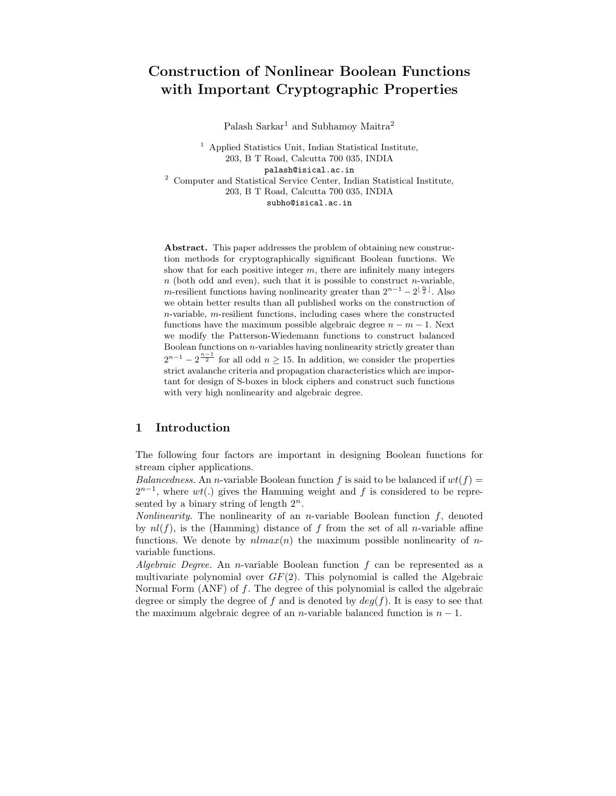# Construction of Nonlinear Boolean Functions with Important Cryptographic Properties

Palash Sarkar<sup>1</sup> and Subhamoy Maitra<sup>2</sup>

<sup>1</sup> Applied Statistics Unit, Indian Statistical Institute, 203, B T Road, Calcutta 700 035, INDIA palash@isical.ac.in <sup>2</sup> Computer and Statistical Service Center, Indian Statistical Institute, 203, B T Road, Calcutta 700 035, INDIA subho@isical.ac.in

Abstract. This paper addresses the problem of obtaining new construction methods for cryptographically significant Boolean functions. We show that for each positive integer  $m$ , there are infinitely many integers  $n$  (both odd and even), such that it is possible to construct n-variable, m-resilient functions having nonlinearity greater than  $2^{n-1} - 2^{\lfloor \frac{n}{2} \rfloor}$ . Also we obtain better results than all published works on the construction of  $n$ -variable,  $m$ -resilient functions, including cases where the constructed functions have the maximum possible algebraic degree  $n - m - 1$ . Next we modify the Patterson-Wiedemann functions to construct balanced Boolean functions on  $n$ -variables having nonlinearity strictly greater than  $2^{n-1} - 2^{\frac{n-1}{2}}$  for all odd  $n \ge 15$ . In addition, we consider the properties strict avalanche criteria and propagation characteristics which are important for design of S-boxes in block ciphers and construct such functions with very high nonlinearity and algebraic degree.

# 1 Introduction

The following four factors are important in designing Boolean functions for stream cipher applications.

Balancedness. An n-variable Boolean function f is said to be balanced if  $wt(f)$  =  $2^{n-1}$ , where  $wt(.)$  gives the Hamming weight and f is considered to be represented by a binary string of length  $2^n$ .

Nonlinearity. The nonlinearity of an *n*-variable Boolean function  $f$ , denoted by  $nl(f)$ , is the (Hamming) distance of f from the set of all n-variable affine functions. We denote by  $nlmax(n)$  the maximum possible nonlinearity of nvariable functions.

Algebraic Degree. An n-variable Boolean function  $f$  can be represented as a multivariate polynomial over  $GF(2)$ . This polynomial is called the Algebraic Normal Form (ANF) of f. The degree of this polynomial is called the algebraic degree or simply the degree of f and is denoted by  $deg(f)$ . It is easy to see that the maximum algebraic degree of an *n*-variable balanced function is  $n - 1$ .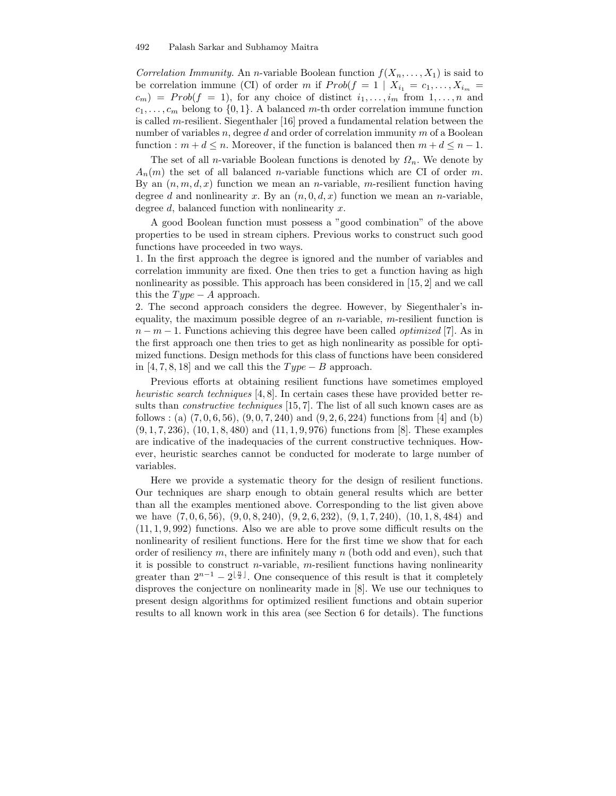Correlation Immunity. An n-variable Boolean function  $f(X_n, \ldots, X_1)$  is said to be correlation immune (CI) of order m if  $Prob(f = 1 | X_{i_1} = c_1, \ldots, X_{i_m} =$  $c_m$ ) =  $Prob(f = 1)$ , for any choice of distinct  $i_1, \ldots, i_m$  from  $1, \ldots, n$  and  $c_1, \ldots, c_m$  belong to  $\{0, 1\}$ . A balanced m-th order correlation immune function is called m-resilient. Siegenthaler [16] proved a fundamental relation between the number of variables  $n$ , degree  $d$  and order of correlation immunity  $m$  of a Boolean function :  $m + d \leq n$ . Moreover, if the function is balanced then  $m + d \leq n - 1$ .

The set of all *n*-variable Boolean functions is denoted by  $\Omega_n$ . We denote by  $A_n(m)$  the set of all balanced *n*-variable functions which are CI of order m. By an  $(n, m, d, x)$  function we mean an *n*-variable, *m*-resilient function having degree d and nonlinearity x. By an  $(n, 0, d, x)$  function we mean an n-variable, degree  $d$ , balanced function with nonlinearity  $x$ .

A good Boolean function must possess a "good combination" of the above properties to be used in stream ciphers. Previous works to construct such good functions have proceeded in two ways.

1. In the first approach the degree is ignored and the number of variables and correlation immunity are fixed. One then tries to get a function having as high nonlinearity as possible. This approach has been considered in [15, 2] and we call this the  $Type - A$  approach.

2. The second approach considers the degree. However, by Siegenthaler's inequality, the maximum possible degree of an  $n$ -variable,  $m$ -resilient function is  $n-m-1$ . Functions achieving this degree have been called *optimized* [7]. As in the first approach one then tries to get as high nonlinearity as possible for optimized functions. Design methods for this class of functions have been considered in [4, 7, 8, 18] and we call this the  $Type - B$  approach.

Previous efforts at obtaining resilient functions have sometimes employed heuristic search techniques [4, 8]. In certain cases these have provided better results than constructive techniques [15, 7]. The list of all such known cases are as follows : (a)  $(7, 0, 6, 56)$ ,  $(9, 0, 7, 240)$  and  $(9, 2, 6, 224)$  functions from [4] and (b)  $(9, 1, 7, 236), (10, 1, 8, 480)$  and  $(11, 1, 9, 976)$  functions from [8]. These examples are indicative of the inadequacies of the current constructive techniques. However, heuristic searches cannot be conducted for moderate to large number of variables.

Here we provide a systematic theory for the design of resilient functions. Our techniques are sharp enough to obtain general results which are better than all the examples mentioned above. Corresponding to the list given above we have (7, 0, 6, 56), (9, 0, 8, 240), (9, 2, 6, 232), (9, 1, 7, 240), (10, 1, 8, 484) and  $(11, 1, 9, 992)$  functions. Also we are able to prove some difficult results on the nonlinearity of resilient functions. Here for the first time we show that for each order of resiliency  $m$ , there are infinitely many  $n$  (both odd and even), such that it is possible to construct *n*-variable, *m*-resilient functions having nonlinearity greater than  $2^{n-1} - 2^{\lfloor \frac{n}{2} \rfloor}$ . One consequence of this result is that it completely disproves the conjecture on nonlinearity made in [8]. We use our techniques to present design algorithms for optimized resilient functions and obtain superior results to all known work in this area (see Section 6 for details). The functions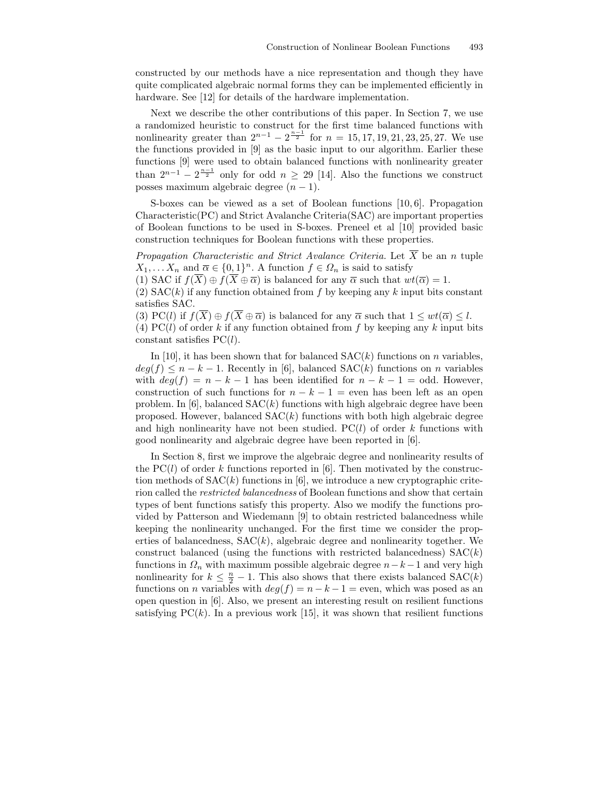constructed by our methods have a nice representation and though they have quite complicated algebraic normal forms they can be implemented efficiently in hardware. See [12] for details of the hardware implementation.

Next we describe the other contributions of this paper. In Section 7, we use a randomized heuristic to construct for the first time balanced functions with nonlinearity greater than  $2^{n-1} - 2^{\frac{n-1}{2}}$  for  $n = 15, 17, 19, 21, 23, 25, 27$ . We use the functions provided in [9] as the basic input to our algorithm. Earlier these functions [9] were used to obtain balanced functions with nonlinearity greater than  $2^{n-1} - 2^{\frac{n-1}{2}}$  only for odd  $n \geq 29$  [14]. Also the functions we construct posses maximum algebraic degree  $(n - 1)$ .

S-boxes can be viewed as a set of Boolean functions [10, 6]. Propagation Characteristic(PC) and Strict Avalanche Criteria(SAC) are important properties of Boolean functions to be used in S-boxes. Preneel et al [10] provided basic construction techniques for Boolean functions with these properties.

Propagation Characteristic and Strict Avalance Criteria. Let  $\overline{X}$  be an n tuple  $X_1, \ldots, X_n$  and  $\overline{\alpha} \in \{0,1\}^n$ . A function  $f \in \Omega_n$  is said to satisfy

(1) SAC if  $f(\overline{X}) \oplus f(\overline{X} \oplus \overline{\alpha})$  is balanced for any  $\overline{\alpha}$  such that  $wt(\overline{\alpha}) = 1$ .

(2)  $SAC(k)$  if any function obtained from f by keeping any k input bits constant satisfies SAC.

(3) PC(l) if  $f(\overline{X}) \oplus f(\overline{X} \oplus \overline{\alpha})$  is balanced for any  $\overline{\alpha}$  such that  $1 \leq wt(\overline{\alpha}) \leq l$ .

(4) PC(l) of order k if any function obtained from f by keeping any k input bits constant satisfies  $PC(l)$ .

In [10], it has been shown that for balanced  $SAC(k)$  functions on n variables,  $deg(f) \leq n - k - 1$ . Recently in [6], balanced  $SAC(k)$  functions on n variables with  $deg(f) = n - k - 1$  has been identified for  $n - k - 1 =$  odd. However, construction of such functions for  $n - k - 1 =$  even has been left as an open problem. In  $[6]$ , balanced  $SAC(k)$  functions with high algebraic degree have been proposed. However, balanced  $SAC(k)$  functions with both high algebraic degree and high nonlinearity have not been studied.  $PC(l)$  of order k functions with good nonlinearity and algebraic degree have been reported in [6].

In Section 8, first we improve the algebraic degree and nonlinearity results of the PC(l) of order k functions reported in [6]. Then motivated by the construction methods of  $SAC(k)$  functions in [6], we introduce a new cryptographic criterion called the restricted balancedness of Boolean functions and show that certain types of bent functions satisfy this property. Also we modify the functions provided by Patterson and Wiedemann [9] to obtain restricted balancedness while keeping the nonlinearity unchanged. For the first time we consider the properties of balancedness,  $SAC(k)$ , algebraic degree and nonlinearity together. We construct balanced (using the functions with restricted balancedness)  $SAC(k)$ functions in  $\Omega_n$  with maximum possible algebraic degree  $n-k-1$  and very high nonlinearity for  $k \leq \frac{n}{2} - 1$ . This also shows that there exists balanced SAC(k) functions on *n* variables with  $deg(f) = n - k - 1 =$  even, which was posed as an open question in [6]. Also, we present an interesting result on resilient functions satisfying  $PC(k)$ . In a previous work [15], it was shown that resilient functions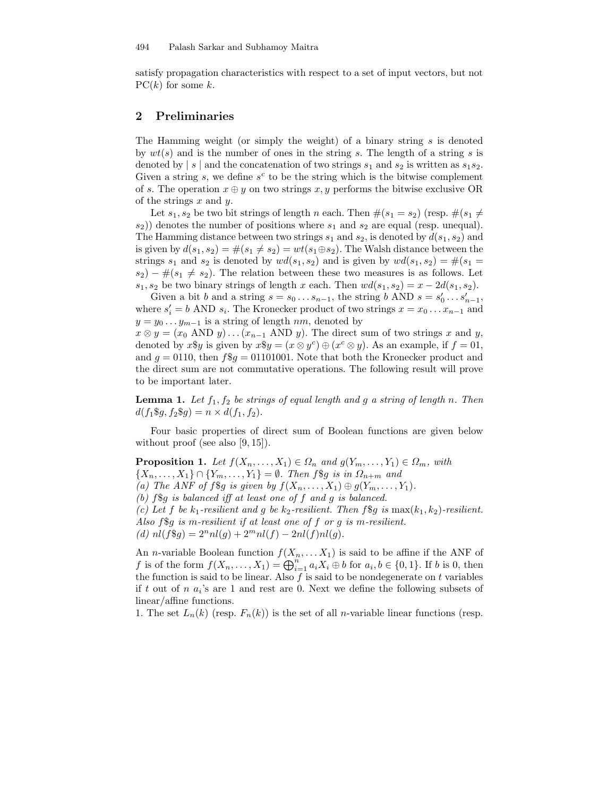satisfy propagation characteristics with respect to a set of input vectors, but not  $PC(k)$  for some k.

# 2 Preliminaries

The Hamming weight (or simply the weight) of a binary string  $s$  is denoted by  $wt(s)$  and is the number of ones in the string s. The length of a string s is denoted by | s | and the concatenation of two strings  $s_1$  and  $s_2$  is written as  $s_1s_2$ . Given a string  $s$ , we define  $s^c$  to be the string which is the bitwise complement of s. The operation  $x \oplus y$  on two strings  $x, y$  performs the bitwise exclusive OR of the strings  $x$  and  $y$ .

Let  $s_1, s_2$  be two bit strings of length n each. Then  $\#(s_1 = s_2)$  (resp.  $\#(s_1 \neq$  $s_2$ )) denotes the number of positions where  $s_1$  and  $s_2$  are equal (resp. unequal). The Hamming distance between two strings  $s_1$  and  $s_2$ , is denoted by  $d(s_1, s_2)$  and is given by  $d(s_1, s_2) = \#(s_1 \neq s_2) = wt(s_1 \oplus s_2)$ . The Walsh distance between the strings  $s_1$  and  $s_2$  is denoted by  $wd(s_1, s_2)$  and is given by  $wd(s_1, s_2) = \#(s_1 =$  $s_2$ ) –  $\#(s_1 \neq s_2)$ . The relation between these two measures is as follows. Let  $s_1, s_2$  be two binary strings of length x each. Then  $wd(s_1, s_2) = x - 2d(s_1, s_2)$ .

Given a bit b and a string  $s = s_0 \dots s_{n-1}$ , the string b AND  $s = s'_0 \dots s'_{n-1}$ , where  $s_i' = b$  AND  $s_i$ . The Kronecker product of two strings  $x = x_0 \dots x_{n-1}$  and  $y = y_0 \dots y_{m-1}$  is a string of length nm, denoted by

 $x \otimes y = (x_0 \text{ AND } y) \dots (x_{n-1} \text{ AND } y).$  The direct sum of two strings x and y, denoted by  $x\$ y is given by  $x\$ y =  $(x \otimes y^c) \oplus (x^c \otimes y)$ . As an example, if  $f = 01$ , and  $g = 0110$ , then  $f\$ g = 01101001. Note that both the Kronecker product and the direct sum are not commutative operations. The following result will prove to be important later.

**Lemma 1.** Let  $f_1, f_2$  be strings of equal length and g a string of length n. Then  $d(f_1\$ \mathfrak{g}, f\_2\\mathfrak{g}) = n \times d(f\_1, f\_2).

Four basic properties of direct sum of Boolean functions are given below without proof (see also [9, 15]).

**Proposition 1.** Let  $f(X_n, \ldots, X_1) \in \Omega_n$  and  $g(Y_m, \ldots, Y_1) \in \Omega_m$ , with

 $\{X_n, \ldots, X_1\} \cap \{Y_m, \ldots, Y_1\} = \emptyset$ . Then f\$g is in  $\Omega_{n+m}$  and

(a) The ANF of f\\$g is given by  $f(X_n, \ldots, X_1) \oplus g(Y_m, \ldots, Y_1)$ .

(b)  $f\$  g is balanced iff at least one of f and g is balanced.

(c) Let f be  $k_1$ -resilient and g be  $k_2$ -resilient. Then f\\$q is max $(k_1, k_2)$ -resilient. Also f\$g is m-resilient if at least one of f or g is m-resilient.

(d)  $nl(f\$ g) = 2<sup>n</sup>nl(g) + 2<sup>m</sup>nl(f) - 2nl(f)nl(g).

An *n*-variable Boolean function  $f(X_n, \ldots, X_1)$  is said to be affine if the ANF of f is of the form  $f(X_n, \ldots, X_1) = \bigoplus_{i=1}^n a_i X_i \oplus b$  for  $a_i, b \in \{0, 1\}$ . If b is 0, then the function is said to be linear. Also  $f$  is said to be nondegenerate on  $t$  variables if t out of n  $a_i$ 's are 1 and rest are 0. Next we define the following subsets of linear/affine functions.

1. The set  $L_n(k)$  (resp.  $F_n(k)$ ) is the set of all *n*-variable linear functions (resp.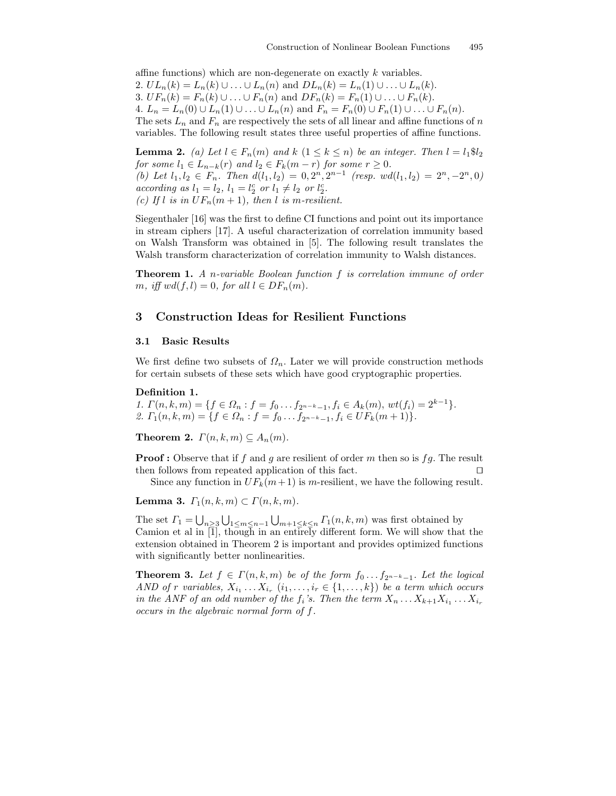affine functions) which are non-degenerate on exactly k variables. 2.  $UL_n(k) = L_n(k) \cup ... \cup L_n(n)$  and  $DL_n(k) = L_n(1) \cup ... \cup L_n(k)$ . 3.  $UF_n(k) = F_n(k) \cup ... \cup F_n(n)$  and  $DF_n(k) = F_n(1) \cup ... \cup F_n(k)$ . 4.  $L_n = L_n(0) \cup L_n(1) \cup ... \cup L_n(n)$  and  $F_n = F_n(0) \cup F_n(1) \cup ... \cup F_n(n)$ . The sets  $L_n$  and  $F_n$  are respectively the sets of all linear and affine functions of n variables. The following result states three useful properties of affine functions.

**Lemma 2.** (a) Let  $l \in F_n(m)$  and  $k$   $(1 \leq k \leq n)$  be an integer. Then  $l = l_1 \$\mathit{l}_2$ for some  $l_1 \in L_{n-k}(r)$  and  $l_2 \in F_k(m-r)$  for some  $r \geq 0$ . (b) Let  $l_1, l_2 \in F_n$ . Then  $d(l_1, l_2) = 0, 2^n, 2^{n-1}$  (resp.  $wd(l_1, l_2) = 2^n, -2^n, 0$ ) according as  $l_1 = l_2, l_1 = l_2^c$  or  $l_1 \neq l_2$  or  $l_2^c$ . (c) If l is in  $UF_n(m+1)$ , then l is m-resilient.

Siegenthaler [16] was the first to define CI functions and point out its importance in stream ciphers [17]. A useful characterization of correlation immunity based on Walsh Transform was obtained in [5]. The following result translates the Walsh transform characterization of correlation immunity to Walsh distances.

**Theorem 1.** A n-variable Boolean function f is correlation immune of order m, iff  $wd(f, l) = 0$ , for all  $l \in DF_n(m)$ .

# 3 Construction Ideas for Resilient Functions

#### 3.1 Basic Results

We first define two subsets of  $\Omega_n$ . Later we will provide construction methods for certain subsets of these sets which have good cryptographic properties.

## Definition 1.

1.  $\Gamma(n, k, m) = \{f \in \Omega_n : f = f_0 \dots f_{2^{n-k}-1}, f_i \in A_k(m), wt(f_i) = 2^{k-1}\}.$ 2.  $\Gamma_1(n, k, m) = \{f \in \Omega_n : f = f_0 \dots f_{2^{n-k}-1}, f_i \in UF_k(m+1)\}.$ 

**Theorem 2.**  $\Gamma(n,k,m) \subseteq A_n(m)$ .

**Proof :** Observe that if f and g are resilient of order m then so is fg. The result then follows from repeated application of this fact.  $\Box$ 

Since any function in  $UF_k(m+1)$  is m-resilient, we have the following result.

Lemma 3.  $\Gamma_1(n,k,m) \subset \Gamma(n,k,m)$ .

The set  $\Gamma_1 = \bigcup_{n\geq 3} \bigcup_{1\leq m\leq n-1} \bigcup_{m+1\leq k\leq n} \Gamma_1(n, k, m)$  was first obtained by Camion et al in [1], though in an entirely different form. We will show that the extension obtained in Theorem 2 is important and provides optimized functions with significantly better nonlinearities.

**Theorem 3.** Let  $f \in \Gamma(n,k,m)$  be of the form  $f_0 \dots f_{2n-k-1}$ . Let the logical AND of r variables,  $X_{i_1} \ldots X_{i_r}$   $(i_1, \ldots, i_r \in \{1, \ldots, k\})$  be a term which occurs in the ANF of an odd number of the  $f_i$ 's. Then the term  $X_n \dots X_{k+1} X_{i_1} \dots X_{i_r}$ occurs in the algebraic normal form of f.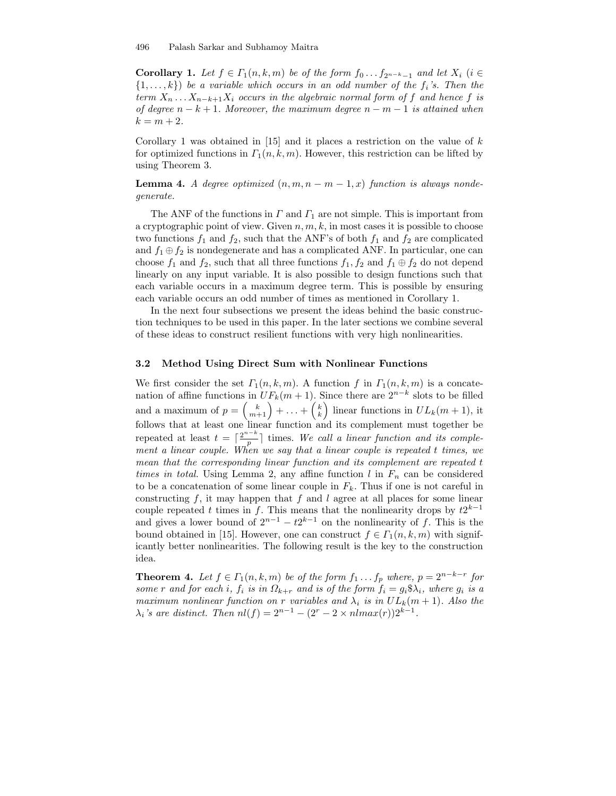**Corollary 1.** Let  $f \in \Gamma_1(n, k, m)$  be of the form  $f_0 \dots f_{2n-k-1}$  and let  $X_i$  (i  $\in$  $\{1, \ldots, k\}$ ) be a variable which occurs in an odd number of the  $f_i$ 's. Then the term  $X_n \ldots X_{n-k+1} X_i$  occurs in the algebraic normal form of f and hence f is of degree  $n - k + 1$ . Moreover, the maximum degree  $n - m - 1$  is attained when  $k = m + 2.$ 

Corollary 1 was obtained in  $[15]$  and it places a restriction on the value of k for optimized functions in  $\Gamma_1(n, k, m)$ . However, this restriction can be lifted by using Theorem 3.

**Lemma 4.** A degree optimized  $(n, m, n - m - 1, x)$  function is always nondegenerate.

The ANF of the functions in  $\Gamma$  and  $\Gamma_1$  are not simple. This is important from a cryptographic point of view. Given  $n, m, k$ , in most cases it is possible to choose two functions  $f_1$  and  $f_2$ , such that the ANF's of both  $f_1$  and  $f_2$  are complicated and  $f_1 \oplus f_2$  is nondegenerate and has a complicated ANF. In particular, one can choose  $f_1$  and  $f_2$ , such that all three functions  $f_1, f_2$  and  $f_1 \oplus f_2$  do not depend linearly on any input variable. It is also possible to design functions such that each variable occurs in a maximum degree term. This is possible by ensuring each variable occurs an odd number of times as mentioned in Corollary 1.

In the next four subsections we present the ideas behind the basic construction techniques to be used in this paper. In the later sections we combine several of these ideas to construct resilient functions with very high nonlinearities.

### 3.2 Method Using Direct Sum with Nonlinear Functions

We first consider the set  $\Gamma_1(n, k, m)$ . A function f in  $\Gamma_1(n, k, m)$  is a concatenation of affine functions in  $UF_k(m+1)$ . Since there are  $2^{n-k}$  slots to be filled and a maximum of  $p = \binom{k}{m+1} + \ldots + \binom{k}{k}$  linear functions in  $UL_k(m+1)$ , it follows that at least one linear function and its complement must together be repeated at least  $t = \lceil \frac{2^{n-k}}{n} \rceil$  $\lfloor \frac{n}{p} \rfloor$  times. We call a linear function and its complement a linear couple. When we say that a linear couple is repeated t times, we mean that the corresponding linear function and its complement are repeated t times in total. Using Lemma 2, any affine function l in  $F_n$  can be considered to be a concatenation of some linear couple in  $F_k$ . Thus if one is not careful in constructing  $f$ , it may happen that  $f$  and  $l$  agree at all places for some linear couple repeated t times in f. This means that the nonlinearity drops by  $t2^{k-1}$ and gives a lower bound of  $2^{n-1} - t2^{k-1}$  on the nonlinearity of f. This is the bound obtained in [15]. However, one can construct  $f \in \Gamma_1(n, k, m)$  with significantly better nonlinearities. The following result is the key to the construction idea.

**Theorem 4.** Let  $f \in \Gamma_1(n,k,m)$  be of the form  $f_1 \ldots f_p$  where,  $p = 2^{n-k-r}$  for some r and for each i,  $f_i$  is in  $\Omega_{k+r}$  and is of the form  $f_i = g_i \mathfrak{A}_i$ , where  $g_i$  is a maximum nonlinear function on r variables and  $\lambda_i$  is in  $UL_k(m+1)$ . Also the  $\lambda_i$ 's are distinct. Then  $nl(f) = 2^{n-1} - (2^r - 2 \times n \cdot \text{max}(r))2^{k-1}$ .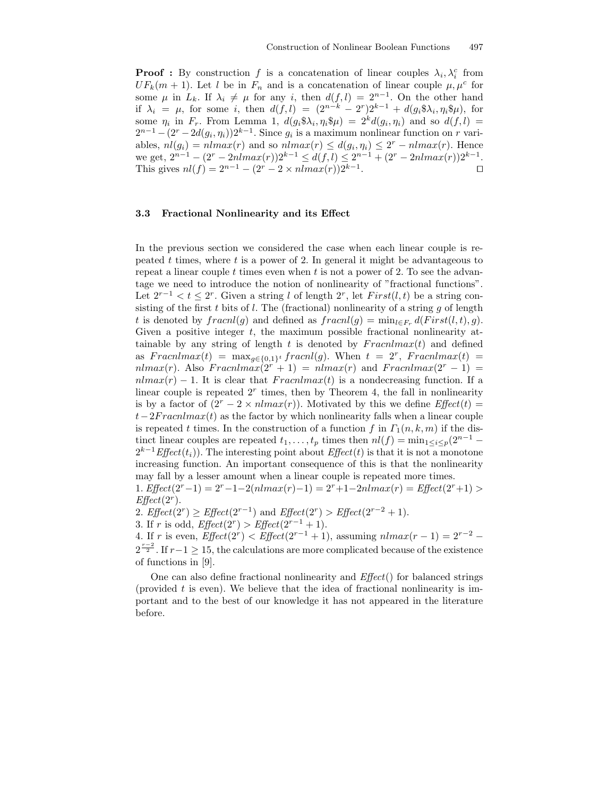**Proof :** By construction f is a concatenation of linear couples  $\lambda_i, \lambda_i^c$  from  $UF_k(m + 1)$ . Let l be in  $F_n$  and is a concatenation of linear couple  $\mu, \mu^c$  for some  $\mu$  in  $L_k$ . If  $\lambda_i \neq \mu$  for any i, then  $d(f, l) = 2^{n-1}$ . On the other hand if  $\lambda_i = \mu$ , for some i, then  $d(f, l) = (2^{n-k} - 2^r)2^{k-1} + d(g_i \mathfrak{A}_i, \eta_i \mathfrak{A} \mu)$ , for some  $\eta_i$  in  $F_r$ . From Lemma 1,  $d(g_i \, \mathcal{S} \lambda_i, \eta_i \, \mathcal{S} \mu) = 2^k d(g_i, \eta_i)$  and so  $d(f, l) =$  $2^{n-1} - (2^r - 2d(g_i, \eta_i))2^{k-1}$ . Since  $g_i$  is a maximum nonlinear function on r variables,  $nl(g_i) = nIm(x(r))$  and so  $nIm(x(r)) \leq d(g_i, \eta_i) \leq 2^r - nIm(x(r))$ . Hence we get,  $2^{n-1} - (2^r - 2nImax(r))2^{k-1} \leq d(f, l) \leq 2^{n-1} + (2^r - 2nImax(r))2^{k-1}$ . This gives  $nl(f) = 2^{n-1} - (2^r - 2 \times n \cdot \text{Im}(r))2^{k-1}$ . The contract of the contract  $\Box$ 

### 3.3 Fractional Nonlinearity and its Effect

In the previous section we considered the case when each linear couple is repeated  $t$  times, where  $t$  is a power of 2. In general it might be advantageous to repeat a linear couple  $t$  times even when  $t$  is not a power of 2. To see the advantage we need to introduce the notion of nonlinearity of "fractional functions". Let  $2^{r-1} < t \le 2^r$ . Given a string l of length  $2^r$ , let  $First(l, t)$  be a string consisting of the first  $t$  bits of  $l$ . The (fractional) nonlinearity of a string  $q$  of length t is denoted by  $\text{frac}(g)$  and defined as  $\text{frac}(g) = \min_{l \in F_r} d(\text{First}(l,t), g)$ . Given a positive integer  $t$ , the maximum possible fractional nonlinearity attainable by any string of length t is denoted by  $Franlmax(t)$  and defined as  $Fraenlmax(t) = \max_{g \in \{0,1\}^t} fracnl(g)$ . When  $t = 2^r$ ,  $Fraenlmax(t) =$  $nlmax(r)$ . Also  $Franlmax(2r + 1) = nlmax(r)$  and  $Franlmax(2r - 1) =$  $nImax(r) - 1$ . It is clear that  $FranImax(t)$  is a nondecreasing function. If a linear couple is repeated  $2<sup>r</sup>$  times, then by Theorem 4, the fall in nonlinearity is by a factor of  $(2<sup>r</sup> - 2 \times nImax(r))$ . Motivated by this we define  $Effect(t) =$  $t-2FracnImax(t)$  as the factor by which nonlinearity falls when a linear couple is repeated t times. In the construction of a function f in  $\Gamma_1(n, k, m)$  if the distinct linear couples are repeated  $t_1, \ldots, t_p$  times then  $nl(f) = \min_{1 \leq i \leq p} (2^{n-1} 2^{k-1}$  Effect $(t_i)$ ). The interesting point about Effect $(t)$  is that it is not a monotone increasing function. An important consequence of this is that the nonlinearity may fall by a lesser amount when a linear couple is repeated more times. 1. Effect(2<sup>r</sup>-1) = 2<sup>r</sup>-1-2(nlmax(r)-1) = 2<sup>r</sup>+1-2nlmax(r) = Effect(2<sup>r</sup>+1) >

 $Effect(2<sup>r</sup>)$ .

2.  $Effect(2^{r}) \ge Effect(2^{r-1})$  and  $Effect(2^{r}) > Effect(2^{r-2} + 1)$ .

3. If r is odd,  $Effect(2^r) > Effect(2^{r-1} + 1)$ .

4. If r is even,  $Effect(2^{r}) < Effect(2^{r-1} + 1)$ , assuming  $nlmax(r - 1) = 2^{r-2} 2^{\frac{r-2}{2}}$ . If  $r-1 \geq 15$ , the calculations are more complicated because of the existence of functions in [9].

One can also define fractional nonlinearity and  $Effect()$  for balanced strings (provided  $t$  is even). We believe that the idea of fractional nonlinearity is important and to the best of our knowledge it has not appeared in the literature before.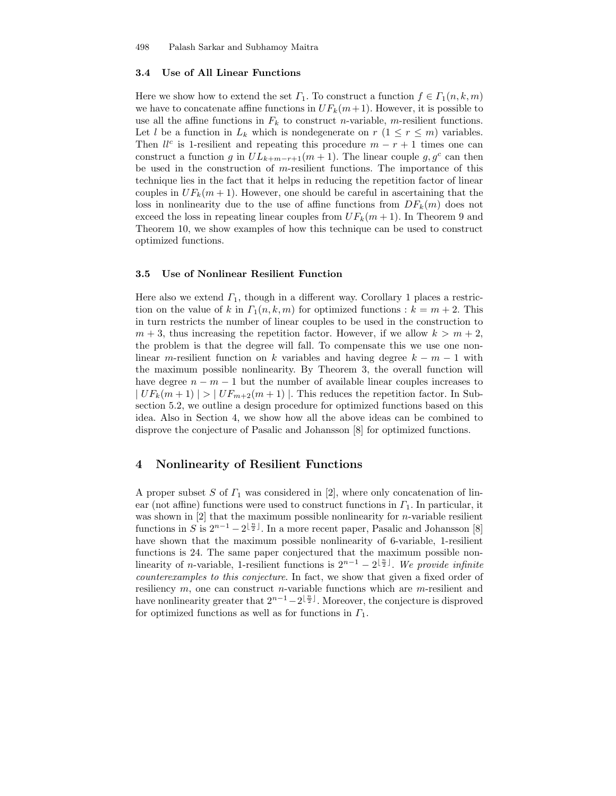#### 3.4 Use of All Linear Functions

Here we show how to extend the set  $\Gamma_1$ . To construct a function  $f \in \Gamma_1(n, k, m)$ we have to concatenate affine functions in  $UF_k(m+1)$ . However, it is possible to use all the affine functions in  $F_k$  to construct *n*-variable, *m*-resilient functions. Let l be a function in  $L_k$  which is nondegenerate on  $r$   $(1 \leq r \leq m)$  variables. Then  $ll^c$  is 1-resilient and repeating this procedure  $m - r + 1$  times one can construct a function g in  $UL_{k+m-r+1}(m+1)$ . The linear couple  $g, g^c$  can then be used in the construction of  $m$ -resilient functions. The importance of this technique lies in the fact that it helps in reducing the repetition factor of linear couples in  $UF_k(m+1)$ . However, one should be careful in ascertaining that the loss in nonlinearity due to the use of affine functions from  $DF_k(m)$  does not exceed the loss in repeating linear couples from  $UF_k(m+1)$ . In Theorem 9 and Theorem 10, we show examples of how this technique can be used to construct optimized functions.

#### 3.5 Use of Nonlinear Resilient Function

Here also we extend  $\Gamma_1$ , though in a different way. Corollary 1 places a restriction on the value of k in  $\Gamma_1(n, k, m)$  for optimized functions :  $k = m + 2$ . This in turn restricts the number of linear couples to be used in the construction to  $m + 3$ , thus increasing the repetition factor. However, if we allow  $k > m + 2$ , the problem is that the degree will fall. To compensate this we use one nonlinear m-resilient function on k variables and having degree  $k - m - 1$  with the maximum possible nonlinearity. By Theorem 3, the overall function will have degree  $n - m - 1$  but the number of available linear couples increases to  $|UF_k(m+1)| > |UF_{m+2}(m+1)|$ . This reduces the repetition factor. In Subsection 5.2, we outline a design procedure for optimized functions based on this idea. Also in Section 4, we show how all the above ideas can be combined to disprove the conjecture of Pasalic and Johansson [8] for optimized functions.

## 4 Nonlinearity of Resilient Functions

A proper subset S of  $\Gamma_1$  was considered in [2], where only concatenation of linear (not affine) functions were used to construct functions in  $\Gamma_1$ . In particular, it was shown in  $[2]$  that the maximum possible nonlinearity for *n*-variable resilient functions in S is  $2^{n-1} - 2^{\lfloor \frac{n}{2} \rfloor}$ . In a more recent paper, Pasalic and Johansson [8] have shown that the maximum possible nonlinearity of 6-variable, 1-resilient functions is 24. The same paper conjectured that the maximum possible nonlinearity of *n*-variable, 1-resilient functions is  $2^{n-1} - 2^{\lfloor \frac{n}{2} \rfloor}$ . We provide infinite counterexamples to this conjecture. In fact, we show that given a fixed order of resiliency  $m$ , one can construct n-variable functions which are  $m$ -resilient and have nonlinearity greater that  $2^{n-1}-2^{\lfloor \frac{n}{2} \rfloor}$ . Moreover, the conjecture is disproved for optimized functions as well as for functions in  $\Gamma_1$ .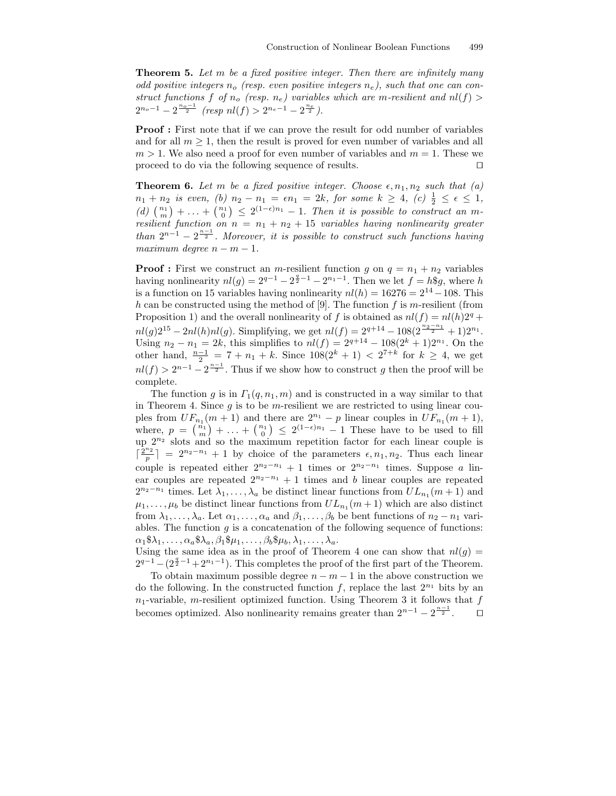**Theorem 5.** Let m be a fixed positive integer. Then there are infinitely many odd positive integers  $n_o$  (resp. even positive integers  $n_e$ ), such that one can construct functions f of  $n_o$  (resp.  $n_e$ ) variables which are m-resilient and  $nl(f)$ )  $2^{n_o-1} - 2^{\frac{n_o-1}{2}}$  (resp  $nl(f) > 2^{n_e-1} - 2^{\frac{n_e}{2}}$ ).

Proof : First note that if we can prove the result for odd number of variables and for all  $m \geq 1$ , then the result is proved for even number of variables and all  $m > 1$ . We also need a proof for even number of variables and  $m = 1$ . These we proceed to do via the following sequence of results.  $\Box$ 

**Theorem 6.** Let m be a fixed positive integer. Choose  $\epsilon$ ,  $n_1$ ,  $n_2$  such that (a)  $n_1 + n_2$  is even, (b)  $n_2 - n_1 = \epsilon n_1 = 2k$ , for some  $k \ge 4$ , (c)  $\frac{1}{2} \le \epsilon \le 1$ , (d)  $\binom{n_1}{m}$  + ... +  $\binom{n_1}{0}$   $\leq$  2<sup>(1- $\epsilon$ )n<sub>1</sub></sup> - 1. Then it is possible to construct an mresilient function on  $n = n_1 + n_2 + 15$  variables having nonlinearity greater than  $2^{n-1} - 2^{\frac{n-1}{2}}$ . Moreover, it is possible to construct such functions having maximum degree  $n - m - 1$ .

**Proof**: First we construct an *m*-resilient function g on  $q = n_1 + n_2$  variables having nonlinearity  $nl(g) = 2^{q-1} - 2^{\frac{q}{2}-1} - 2^{n_1-1}$ . Then we let  $f = h\overline{g}g$ , where h is a function on 15 variables having nonlinearity  $nl(h) = 16276 = 2^{14} - 108$ . This h can be constructed using the method of [9]. The function f is m-resilient (from Proposition 1) and the overall nonlinearity of f is obtained as  $nl(f) = nl(h)2<sup>q</sup> +$  $nl(g)2^{15} - 2nl(h)nl(g)$ . Simplifying, we get  $nl(f) = 2^{q+14} - 108(2^{\frac{n_2 - n_1}{2}} + 1)2^{n_1}$ . Using  $n_2 - n_1 = 2k$ , this simplifies to  $nl(f) = 2^{q+14} - 108(2^k + 1)2^{n_1}$ . On the other hand,  $\frac{n-1}{2} = 7 + n_1 + k$ . Since  $108(2^k + 1) < 2^{7+k}$  for  $k ≥ 4$ , we get  $nl(f) > 2^{n-1} - 2^{\frac{n-1}{2}}$ . Thus if we show how to construct g then the proof will be complete.

The function g is in  $\Gamma_1(q, n_1, m)$  and is constructed in a way similar to that in Theorem 4. Since  $g$  is to be m-resilient we are restricted to using linear couples from  $UF_{n_1}(m+1)$  and there are  $2^{n_1} - p$  linear couples in  $UF_{n_1}(m+1)$ , where,  $p = \binom{n_1}{m} + \ldots + \binom{n_1}{0} \leq 2^{(1-\epsilon)n_1} - 1$  These have to be used to fill up  $2^{n_2}$  slots and so the maximum repetition factor for each linear couple is  $\lceil \frac{2^{n_2}}{n} \rceil$  $\left\lfloor \frac{n_2}{p} \right\rfloor = 2^{n_2 - n_1} + 1$  by choice of the parameters  $\epsilon, n_1, n_2$ . Thus each linear couple is repeated either  $2^{n_2-n_1} + 1$  times or  $2^{n_2-n_1}$  times. Suppose a linear couples are repeated  $2^{n_2-n_1}+1$  times and b linear couples are repeated  $2^{n_2-n_1}$  times. Let  $\lambda_1, \ldots, \lambda_a$  be distinct linear functions from  $UL_{n_1}(m+1)$  and  $\mu_1, \ldots, \mu_b$  be distinct linear functions from  $UL_{n_1}(m+1)$  which are also distinct from  $\lambda_1, \ldots, \lambda_a$ . Let  $\alpha_1, \ldots, \alpha_a$  and  $\beta_1, \ldots, \beta_b$  be bent functions of  $n_2 - n_1$  variables. The function  $g$  is a concatenation of the following sequence of functions:  $\alpha_1\$\lambda_1,\ldots,\alpha_a\$\lambda_a,\beta_1\$\mu_1,\ldots,\beta_b\$\mu_b,\lambda_1,\ldots,\lambda_a.$ 

Using the same idea as in the proof of Theorem 4 one can show that  $nl(q)$  =  $2^{q-1} - (2^{\frac{q}{2}-1} + 2^{n_1-1})$ . This completes the proof of the first part of the Theorem.

To obtain maximum possible degree  $n - m - 1$  in the above construction we do the following. In the constructed function  $f$ , replace the last  $2^{n_1}$  bits by an  $n_1$ -variable, m-resilient optimized function. Using Theorem 3 it follows that f becomes optimized. Also nonlinearity remains greater than  $2^{n-1} - 2^{\frac{n-1}{2}}$ .  $\Box$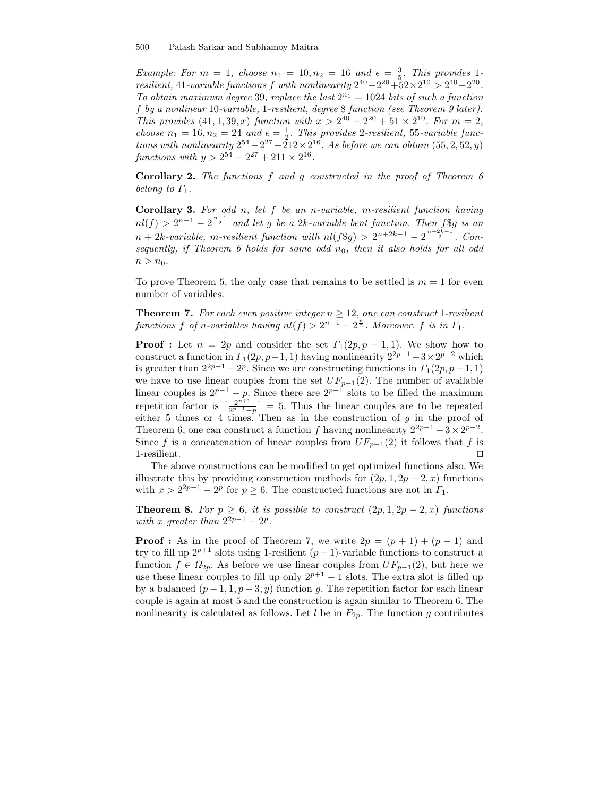Example: For  $m = 1$ , choose  $n_1 = 10, n_2 = 16$  and  $\epsilon = \frac{3}{5}$ . This provides 1resilient, 41-variable functions f with nonlinearity  $2^{40} - 2^{20} + 52 \times 2^{10} > 2^{40} - 2^{20}$ . To obtain maximum degree 39, replace the last  $2^{n_1} = 1024$  bits of such a function f by a nonlinear 10-variable, 1-resilient, degree 8 function (see Theorem 9 later). This provides  $(41, 1, 39, x)$  function with  $x > 2^{40} - 2^{20} + 51 \times 2^{10}$ . For  $m = 2$ , choose  $n_1 = 16$ ,  $n_2 = 24$  and  $\epsilon = \frac{1}{2}$ . This provides 2-resilient, 55-variable functions with nonlinearity  $2^{54} - 2^{27} + 212 \times 2^{16}$ . As before we can obtain  $(55, 2, 52, y)$ functions with  $y > 2^{54} - 2^{27} + 211 \times 2^{16}$ .

Corollary 2. The functions f and g constructed in the proof of Theorem 6 belong to  $\Gamma_1$ .

Corollary 3. For odd n, let  $f$  be an n-variable, m-resilient function having  $nl(f) > 2^{n-1} - 2^{\frac{n-1}{2}}$  and let g be a 2k-variable bent function. Then f\\$g is an  $n+2k\text{-}variable,$  m-resilient function with  $nl(f\$\mathfrak{g}) > 2^{n+2k-1} - 2^{\frac{n+2k-1}{2}}$ . Consequently, if Theorem 6 holds for some odd  $n_0$ , then it also holds for all odd  $n > n_0$ .

To prove Theorem 5, the only case that remains to be settled is  $m = 1$  for even number of variables.

**Theorem 7.** For each even positive integer  $n \geq 12$ , one can construct 1-resilient functions f of n-variables having  $nl(f) > 2^{n-1} - 2^{\frac{n}{2}}$ . Moreover, f is in  $\Gamma_1$ .

**Proof :** Let  $n = 2p$  and consider the set  $\Gamma_1(2p, p-1, 1)$ . We show how to construct a function in  $\Gamma_1(2p, p-1, 1)$  having nonlinearity  $2^{2p-1}-3 \times 2^{p-2}$  which is greater than  $2^{2p-1} - 2^p$ . Since we are constructing functions in  $\Gamma_1(2p, p-1, 1)$ we have to use linear couples from the set  $UF_{p-1}(2)$ . The number of available linear couples is  $2^{p-1} - p$ . Since there are  $2^{p+1}$  slots to be filled the maximum repetition factor is  $\lceil \frac{2^{p+1}}{2^{p-1}} \rceil$  $\frac{2^{p+1}}{2^{p-1}-p}$  = 5. Thus the linear couples are to be repeated either 5 times or 4 times. Then as in the construction of  $g$  in the proof of Theorem 6, one can construct a function f having nonlinearity  $2^{2p-1} - 3 \times 2^{p-2}$ . Since f is a concatenation of linear couples from  $UF_{p-1}(2)$  it follows that f is 1-resilient.  $\Box$ 

The above constructions can be modified to get optimized functions also. We illustrate this by providing construction methods for  $(2p, 1, 2p - 2, x)$  functions with  $x > 2^{2p-1} - 2^p$  for  $p \ge 6$ . The constructed functions are not in  $\Gamma_1$ .

**Theorem 8.** For  $p \ge 6$ , it is possible to construct  $(2p, 1, 2p - 2, x)$  functions with x greater than  $2^{2p-1} - 2^p$ .

**Proof :** As in the proof of Theorem 7, we write  $2p = (p + 1) + (p - 1)$  and try to fill up  $2^{p+1}$  slots using 1-resilient  $(p-1)$ -variable functions to construct a function  $f \in \Omega_{2p}$ . As before we use linear couples from  $UF_{p-1}(2)$ , but here we use these linear couples to fill up only  $2^{p+1} - 1$  slots. The extra slot is filled up by a balanced  $(p-1, 1, p-3, y)$  function g. The repetition factor for each linear couple is again at most 5 and the construction is again similar to Theorem 6. The nonlinearity is calculated as follows. Let  $l$  be in  $F_{2p}$ . The function g contributes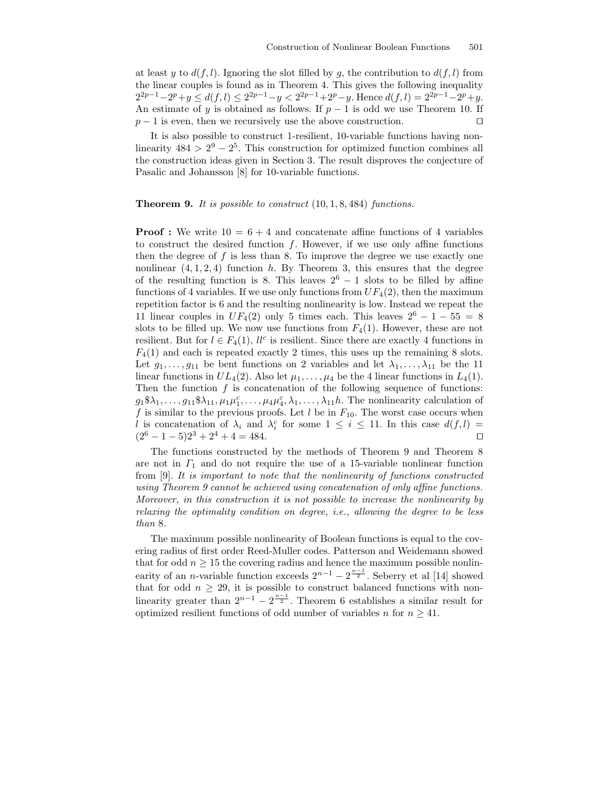at least y to  $d(f, l)$ . Ignoring the slot filled by q, the contribution to  $d(f, l)$  from the linear couples is found as in Theorem 4. This gives the following inequality  $2^{2p-1}-2^p+y \leq d(f, l) \leq 2^{2p-1}-y < 2^{2p-1}+2^p-y$ . Hence  $d(f, l) = 2^{2p-1}-2^p+y$ . An estimate of y is obtained as follows. If  $p-1$  is odd we use Theorem 10. If  $p-1$  is even, then we recursively use the above construction.  $\square$ 

It is also possible to construct 1-resilient, 10-variable functions having nonlinearity  $484 > 2^9 - 2^5$ . This construction for optimized function combines all the construction ideas given in Section 3. The result disproves the conjecture of Pasalic and Johansson [8] for 10-variable functions.

#### **Theorem 9.** It is possible to construct  $(10, 1, 8, 484)$  functions.

**Proof :** We write  $10 = 6 + 4$  and concatenate affine functions of 4 variables to construct the desired function  $f$ . However, if we use only affine functions then the degree of  $f$  is less than 8. To improve the degree we use exactly one nonlinear  $(4, 1, 2, 4)$  function h. By Theorem 3, this ensures that the degree of the resulting function is 8. This leaves  $2^6 - 1$  slots to be filled by affine functions of 4 variables. If we use only functions from  $UF_4(2)$ , then the maximum repetition factor is 6 and the resulting nonlinearity is low. Instead we repeat the 11 linear couples in  $UF_4(2)$  only 5 times each. This leaves  $2^6 - 1 - 55 = 8$ slots to be filled up. We now use functions from  $F_4(1)$ . However, these are not resilient. But for  $l \in F_4(1)$ ,  $ll^c$  is resilient. Since there are exactly 4 functions in  $F_4(1)$  and each is repeated exactly 2 times, this uses up the remaining 8 slots. Let  $g_1, \ldots, g_{11}$  be bent functions on 2 variables and let  $\lambda_1, \ldots, \lambda_{11}$  be the 11 linear functions in  $UL_4(2)$ . Also let  $\mu_1, \ldots, \mu_4$  be the 4 linear functions in  $L_4(1)$ . Then the function  $f$  is concatenation of the following sequence of functions:  $g_1\$\lambda_1,\ldots,g_{11}\$\lambda_{11},\mu_1\mu_1^c,\ldots,\mu_4\mu_4^c,\lambda_1,\ldots,\lambda_{11}h$ . The nonlinearity calculation of f is similar to the previous proofs. Let  $l$  be in  $F_{10}$ . The worst case occurs when l is concatenation of  $\lambda_i$  and  $\lambda_i^c$  for some  $1 \leq i \leq 11$ . In this case  $d(f, l)$  $(2^6 - 1 - 5)2^3 + 2^4 + 4 = 484.$ 

The functions constructed by the methods of Theorem 9 and Theorem 8 are not in  $\Gamma_1$  and do not require the use of a 15-variable nonlinear function from [9]. It is important to note that the nonlinearity of functions constructed using Theorem 9 cannot be achieved using concatenation of only affine functions. Moreover, in this construction it is not possible to increase the nonlinearity by relaxing the optimality condition on degree, i.e., allowing the degree to be less than 8.

The maximum possible nonlinearity of Boolean functions is equal to the covering radius of first order Reed-Muller codes. Patterson and Weidemann showed that for odd  $n \geq 15$  the covering radius and hence the maximum possible nonlinearity of an *n*-variable function exceeds  $2^{n-1} - 2^{\frac{n-1}{2}}$ . Seberry et al [14] showed that for odd  $n \geq 29$ , it is possible to construct balanced functions with nonlinearity greater than  $2^{n-1} - 2^{\frac{n-1}{2}}$ . Theorem 6 establishes a similar result for optimized resilient functions of odd number of variables n for  $n \geq 41$ .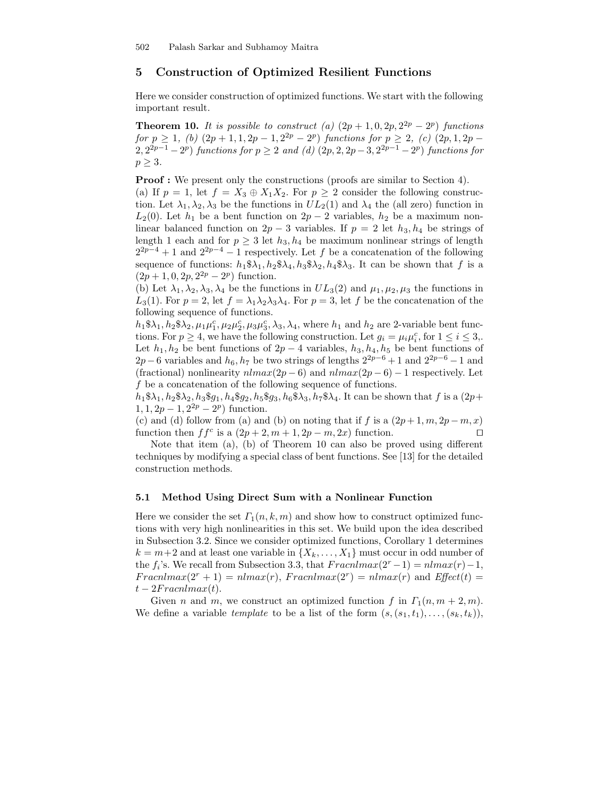# 5 Construction of Optimized Resilient Functions

Here we consider construction of optimized functions. We start with the following important result.

**Theorem 10.** It is possible to construct (a)  $(2p + 1, 0, 2p, 2^{2p} - 2^p)$  functions for  $p \ge 1$ , (b)  $(2p + 1, 1, 2p - 1, 2^{2p} - 2^p)$  functions for  $p \ge 2$ , (c)  $(2p, 1, 2p - 1)$  $2,2^{2p-1}-2^p$ ) functions for  $p \ge 2$  and (d)  $(2p, 2, 2p-3, 2^{2p-1}-2^p)$  functions for  $p \geq 3$ .

Proof : We present only the constructions (proofs are similar to Section 4).

(a) If  $p = 1$ , let  $f = X_3 \oplus X_1 X_2$ . For  $p \geq 2$  consider the following construction. Let  $\lambda_1, \lambda_2, \lambda_3$  be the functions in  $UL_2(1)$  and  $\lambda_4$  the (all zero) function in  $L_2(0)$ . Let  $h_1$  be a bent function on  $2p-2$  variables,  $h_2$  be a maximum nonlinear balanced function on  $2p-3$  variables. If  $p = 2$  let  $h_3, h_4$  be strings of length 1 each and for  $p \geq 3$  let  $h_3, h_4$  be maximum nonlinear strings of length  $2^{2p-4}+1$  and  $2^{2p-4}-1$  respectively. Let f be a concatenation of the following sequence of functions:  $h_1 \$ \lambda_1, h_2 \$ \lambda_4, h_3 \$ \lambda_2, h_4 \$ \lambda_3$ . It can be shown that f is a  $(2p+1, 0, 2p, 2^{2p} – 2^p)$  function.

(b) Let  $\lambda_1, \lambda_2, \lambda_3, \lambda_4$  be the functions in  $UL_3(2)$  and  $\mu_1, \mu_2, \mu_3$  the functions in  $L_3(1)$ . For  $p = 2$ , let  $f = \lambda_1 \lambda_2 \lambda_3 \lambda_4$ . For  $p = 3$ , let f be the concatenation of the following sequence of functions.

 $h_1 \$ \lambda_1, h_2 \$ \lambda_2, \mu_1 \mu_1^c, \mu_2 \mu_2^c, \mu_3 \mu_3^c, \lambda_3, \lambda_4$ , where  $h_1$  and  $h_2$  are 2-variable bent functions. For  $p \ge 4$ , we have the following construction. Let  $g_i = \mu_i \mu_i^c$ , for  $1 \le i \le 3$ . Let  $h_1, h_2$  be bent functions of  $2p - 4$  variables,  $h_3, h_4, h_5$  be bent functions of  $2p-6$  variables and  $h_6, h_7$  be two strings of lengths  $2^{2p-6}+1$  and  $2^{2p-6}-1$  and (fractional) nonlinearity  $nlmax(2p-6)$  and  $nlmax(2p-6) - 1$  respectively. Let f be a concatenation of the following sequence of functions.

 $h_1 \$ \lambda_1, h_2 \$ \lambda_2, h_3 \$ g_1, h_4 \$ g_2, h_5 \$ g_3, h_6 \$ \lambda_3, h_7 \$ \lambda_4$ . It can be shown that f is a  $(2p+$  $1, 1, 2p - 1, 2^{2p} - 2^p$  function.

(c) and (d) follow from (a) and (b) on noting that if f is a  $(2p+1, m, 2p-m, x)$ function then  $ff^c$  is a  $(2p + 2, m + 1, 2p - m, 2x)$  function.

Note that item (a), (b) of Theorem 10 can also be proved using different techniques by modifying a special class of bent functions. See [13] for the detailed construction methods.

#### 5.1 Method Using Direct Sum with a Nonlinear Function

Here we consider the set  $\Gamma_1(n, k, m)$  and show how to construct optimized functions with very high nonlinearities in this set. We build upon the idea described in Subsection 3.2. Since we consider optimized functions, Corollary 1 determines  $k = m+2$  and at least one variable in  $\{X_k, \ldots, X_1\}$  must occur in odd number of the  $f_i$ 's. We recall from Subsection 3.3, that  $Fraenlmax(2^r-1) = nlmax(r) - 1$ ,  $Frac{n \cdot x}{2^r + 1} = n \cdot \text{max}(r)$ ,  $Frac{n \cdot x}{2^r} = n \cdot \text{max}(r)$  and  $Effect(t) =$  $t - 2Fracnlmax(t)$ .

Given n and m, we construct an optimized function f in  $\Gamma_1(n, m+2, m)$ . We define a variable template to be a list of the form  $(s,(s_1,t_1),\ldots,(s_k,t_k)),$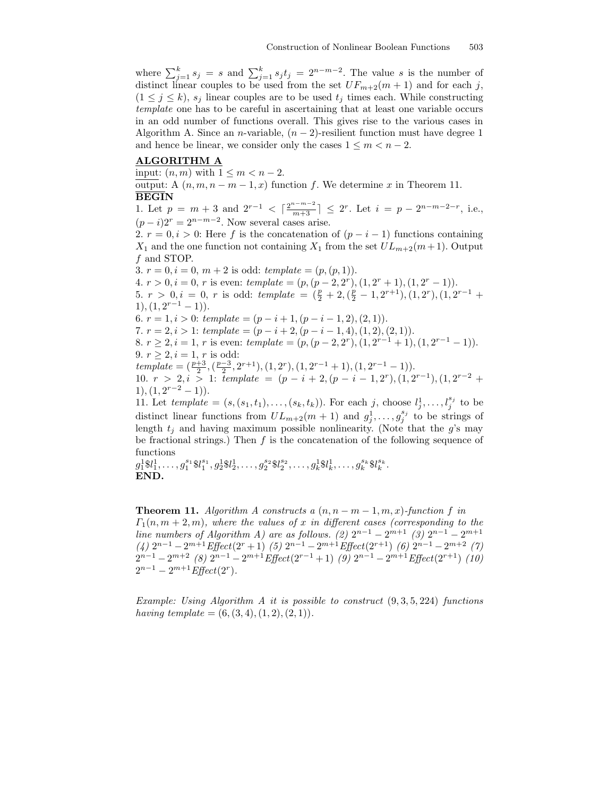where  $\sum_{j=1}^k s_j = s$  and  $\sum_{j=1}^k s_j t_j = 2^{n-m-2}$ . The value s is the number of distinct linear couples to be used from the set  $UF_{m+2}(m+1)$  and for each j,  $(1 \leq j \leq k)$ ,  $s_j$  linear couples are to be used  $t_j$  times each. While constructing template one has to be careful in ascertaining that at least one variable occurs in an odd number of functions overall. This gives rise to the various cases in Algorithm A. Since an *n*-variable,  $(n-2)$ -resilient function must have degree 1 and hence be linear, we consider only the cases  $1 \leq m \leq n-2$ .

#### ALGORITHM A

input:  $(n, m)$  with  $1 \leq m < n-2$ .

output: A  $(n, m, n - m - 1, x)$  function f. We determine x in Theorem 11. BEGIN

1. Let  $p = m + 3$  and  $2^{r-1} < \lceil \frac{2^{n-m-2}}{m+3} \rceil \le 2^r$ . Let  $i = p - 2^{n-m-2-r}$ , i.e.,  $(p-i)2^r = 2^{n-m-2}$ . Now several cases arise.

2.  $r = 0, i > 0$ : Here f is the concatenation of  $(p - i - 1)$  functions containing  $X_1$  and the one function not containing  $X_1$  from the set  $UL_{m+2}(m+1)$ . Output f and STOP.

3.  $r = 0, i = 0, m + 2$  is odd:  $template = (p, (p, 1)).$ 4.  $r > 0, i = 0, r$  is even:  $template = (p, (p - 2, 2r), (1, 2r + 1), (1, 2r - 1)).$ 5.  $r > 0, i = 0, r$  is odd: template =  $(\frac{p}{2} + 2, (\frac{p}{2} - 1, 2^{r+1}), (1, 2^r), (1, 2^{r-1} +$  $1), (1, 2^{r-1} - 1)).$ 6.  $r = 1, i > 0$ : template =  $(p - i + 1, (p - i - 1, 2), (2, 1))$ . 7.  $r = 2, i > 1$ :  $template = (p - i + 2, (p - i - 1, 4), (1, 2), (2, 1)).$ 8.  $r \ge 2$ ,  $i = 1$ , r is even:  $template = (p, (p - 2, 2^r), (1, 2^{r-1} + 1), (1, 2^{r-1} - 1)).$ 9.  $r \geq 2, i = 1, r$  is odd:  $template = (\frac{p+3}{2}, (\frac{p-3}{2}, 2^{r+1}), (1, 2^r), (1, 2^{r-1}+1), (1, 2^{r-1}-1)).$ 10.  $r > 2, i > 1$ : template =  $(p - i + 2, (p - i - 1, 2^r), (1, 2^{r-1}), (1, 2^{r-2} +$  $1), (1, 2^{r-2} - 1)).$ 11. Let  $template = (s, (s_1, t_1), \ldots, (s_k, t_k))$ . For each j, choose  $l_j^1, \ldots, l_j^{s_j}$  to be distinct linear functions from  $UL_{m+2}(m+1)$  and  $g_j^1, \ldots, g_j^{s_j}$  to be strings of length  $t_i$  and having maximum possible nonlinearity. (Note that the g's may be fractional strings.) Then f is the concatenation of the following sequence of functions

 $g_1^1$ \$l $_1^1, \ldots, g_1^{s_1}$ \$l $_1^{s_1}, g_2^1$ \$l $_2^1, \ldots, g_2^{s_2}$ \$l $_2^{s_2}, \ldots, g_k^1$ \$l $_k^1, \ldots, g_k^{s_k}$ \$l $_k^{s_k}$ . END.

**Theorem 11.** Algorithm A constructs a  $(n, n - m - 1, m, x)$ -function f in  $\Gamma_1(n, m+2, m)$ , where the values of x in different cases (corresponding to the line numbers of Algorithm A) are as follows. (2)  $2^{n-1} - 2^{m+1}$  (3)  $2^{n-1} - 2^{m+1}$  $(4)$   $2^{n-1} - 2^{m+1}$  Effect $(2^{r} + 1)$   $(5)$   $2^{n-1} - 2^{m+1}$  Effect $(2^{r+1})$   $(6)$   $2^{n-1} - 2^{m+2}$   $(7)$  $2^{n-1} - 2^{m+2}$  (8)  $2^{n-1} - 2^{m+1}$  Effect  $(2^{r-1} + 1)$  (9)  $2^{n-1} - 2^{m+1}$  Effect  $(2^{r+1})$  (10)  $2^{n-1} - 2^{m+1}$  Effect(2<sup>r</sup>).

Example: Using Algorithm A it is possible to construct  $(9, 3, 5, 224)$  functions having template =  $(6, (3, 4), (1, 2), (2, 1)).$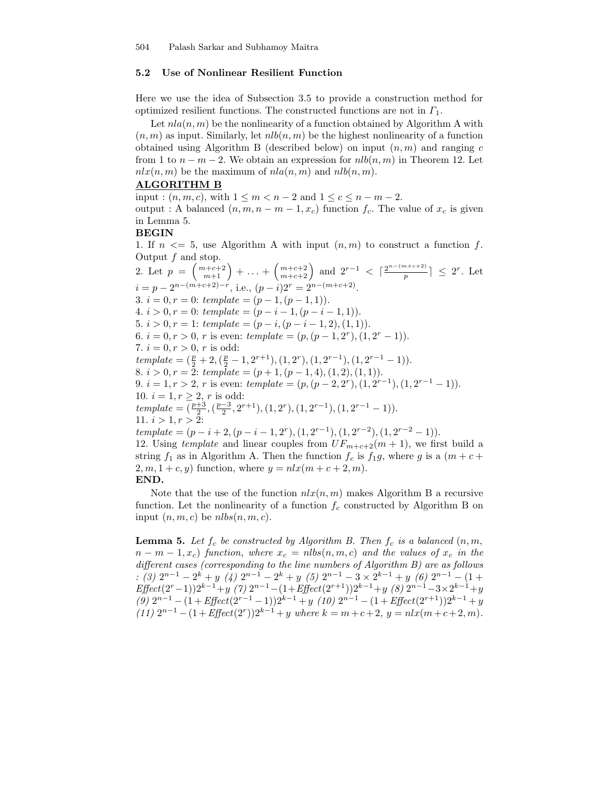## 5.2 Use of Nonlinear Resilient Function

Here we use the idea of Subsection 3.5 to provide a construction method for optimized resilient functions. The constructed functions are not in  $\Gamma_1$ .

Let  $nla(n, m)$  be the nonlinearity of a function obtained by Algorithm A with  $(n, m)$  as input. Similarly, let  $nlb(n, m)$  be the highest nonlinearity of a function obtained using Algorithm B (described below) on input  $(n, m)$  and ranging c from 1 to  $n - m - 2$ . We obtain an expression for  $nlb(n, m)$  in Theorem 12. Let  $nlx(n, m)$  be the maximum of  $nla(n, m)$  and  $nlb(n, m)$ .

## ALGORITHM B

input :  $(n, m, c)$ , with  $1 \leq m < n-2$  and  $1 \leq c \leq n-m-2$ . output : A balanced  $(n, m, n - m - 1, x_c)$  function  $f_c$ . The value of  $x_c$  is given in Lemma 5.

#### BEGIN

1. If  $n \leq 5$ , use Algorithm A with input  $(n, m)$  to construct a function f. Output f and stop.

2. Let  $p = \binom{m+c+2}{m+1} + \ldots + \binom{m+c+2}{m+c+2}$  and  $2^{r-1} < \lceil \frac{2^{n-(m+c+2)}}{p} \rceil$  $\frac{p^{n+c+2j}}{p}$   $\leq$  2<sup>r</sup>. Let  $i = p - 2^{n - (m+c+2)-r}$ , i.e.,  $(p - i)2^r = 2^{n - (m+c+2)}$ . 3.  $i = 0, r = 0$ : template =  $(p - 1, (p - 1, 1))$ . 4.  $i > 0, r = 0$ : template =  $(p - i - 1, (p - i - 1, 1))$ . 5.  $i > 0, r = 1$ : template =  $(p - i, (p - i - 1, 2), (1, 1))$ . 6.  $i = 0, r > 0, r$  is even:  $template = (p, (p - 1, 2^r), (1, 2^r - 1)).$ 7.  $i = 0, r > 0, r$  is odd:  $template = (\frac{p}{2} + 2, (\frac{p}{2} - 1, 2^{r+1}), (1, 2^r), (1, 2^{r-1}), (1, 2^{r-1} - 1)).$ 8.  $i > 0, r = \overline{2}$ : template =  $(p + 1, (p - 1, 4), (1, 2), (1, 1)).$ 9.  $i = 1, r > 2, r$  is even:  $template = (p, (p - 2, 2^r), (1, 2^{r-1}), (1, 2^{r-1} - 1)).$ 10.  $i = 1, r \geq 2, r$  is odd:  $template = (\frac{p+3}{2}, (\frac{p-3}{2}, 2^{r+1}), (1, 2^r), (1, 2^{r-1}), (1, 2^{r-1}-1)).$ 11.  $i > 1, r > 2$ :  $template = (p - i + 2, (p - i - 1, 2<sup>r</sup>), (1, 2<sup>r-1</sup>), (1, 2<sup>r-2</sup>), (1, 2<sup>r-2</sup> - 1)).$ 12. Using template and linear couples from  $UF_{m+c+2}(m+1)$ , we first build a string  $f_1$  as in Algorithm A. Then the function  $f_c$  is  $f_1g$ , where g is a  $(m+c+$  $2, m, 1 + c, y$  function, where  $y = nlx(m + c + 2, m)$ .



Note that the use of the function  $nlx(n, m)$  makes Algorithm B a recursive function. Let the nonlinearity of a function  $f_c$  constructed by Algorithm B on input  $(n, m, c)$  be  $nlbs(n, m, c)$ .

**Lemma 5.** Let  $f_c$  be constructed by Algorithm B. Then  $f_c$  is a balanced  $(n, m, m)$  $n - m - 1, x_c$  function, where  $x_c = n l b s(n, m, c)$  and the values of  $x_c$  in the different cases (corresponding to the line numbers of Algorithm B) are as follows : (3)  $2^{n-1} - 2^k + y$  (4)  $2^{n-1} - 2^k + y$  (5)  $2^{n-1} - 3 \times 2^{k-1} + y$  (6)  $2^{n-1} - (1 +$  $Effect(2^{r}-1))2^{k-1}$ +y (7)  $2^{n-1}-(1+Effect(2^{r+1}))2^{k-1}$ +y (8)  $2^{n-1}-3\times2^{k-1}$ +y (9)  $2^{n-1} - (1 + \text{Effect}(2^{r-1} - 1))2^{k-1} + y$  (10)  $2^{n-1} - (1 + \text{Effect}(2^{r+1}))2^{k-1} + y$ (11)  $2^{n-1} - (1 + Effect(2<sup>r</sup>))2<sup>k-1</sup> + y$  where  $k = m + c + 2$ ,  $y = nlx(m + c + 2, m)$ .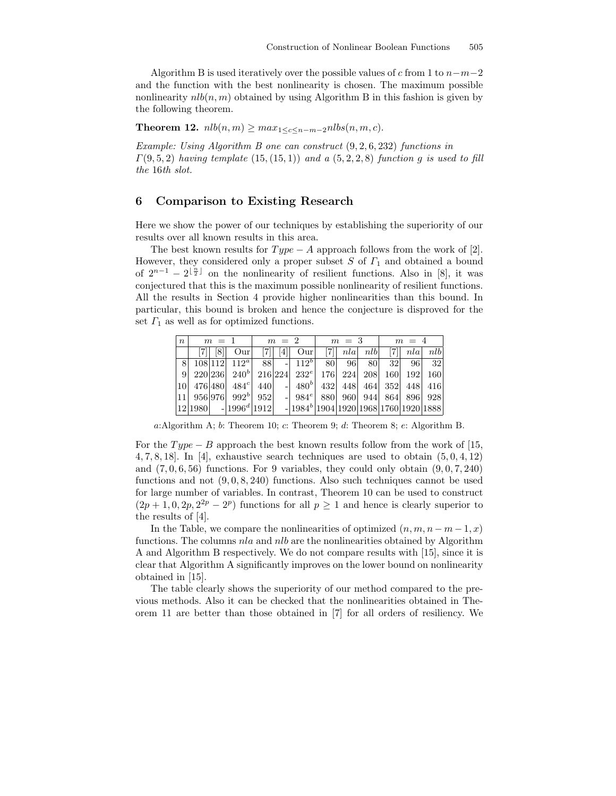Algorithm B is used iteratively over the possible values of c from 1 to  $n-m-2$ and the function with the best nonlinearity is chosen. The maximum possible nonlinearity  $nlb(n, m)$  obtained by using Algorithm B in this fashion is given by the following theorem.

Theorem 12.  $nlb(n, m) \geq max_{1 \leq c \leq n-m-2} n l b s(n, m, c)$ .

Example: Using Algorithm B one can construct (9, 2, 6, 232) functions in  $\Gamma(9, 5, 2)$  having template  $(15, (15, 1))$  and a  $(5, 2, 2, 8)$  function g is used to fill the 16th slot.

## 6 Comparison to Existing Research

Here we show the power of our techniques by establishing the superiority of our results over all known results in this area.

The best known results for  $Type - A$  approach follows from the work of [2]. However, they considered only a proper subset  $S$  of  $\Gamma_1$  and obtained a bound of  $2^{n-1} - 2^{\lfloor \frac{n}{2} \rfloor}$  on the nonlinearity of resilient functions. Also in [8], it was conjectured that this is the maximum possible nonlinearity of resilient functions. All the results in Section 4 provide higher nonlinearities than this bound. In particular, this bound is broken and hence the conjecture is disproved for the set  $\Gamma_1$  as well as for optimized functions.

| $\boldsymbol{n}$ | $m = 1$ |                |                           | $m = 2$ |      |                                               | $m = 3$ |     |     | $m = 4$ |     |     |
|------------------|---------|----------------|---------------------------|---------|------|-----------------------------------------------|---------|-----|-----|---------|-----|-----|
|                  |         | $\overline{8}$ | Our                       |         | 4    | Our                                           |         | n a | nlb |         | n a | nlb |
| 8                |         |                | $108 112 $ $112^a$        | 88      | $-1$ | $112^b$                                       | 80      | 96  | 80  | 32      | 96  | 32  |
| 9                |         |                | $220\,236\,240^b$         | 216 224 |      | $232^e$                                       | 176     | 224 | 208 | 160     | 192 | 160 |
| <b>10</b>        |         | 476 480        | $484^c$                   | 440     |      | 480 <sup>b</sup>                              | 432     | 448 | 464 | 352     | 448 | 416 |
| 11               |         |                | $956 976 $ $992b $ $952 $ |         |      | $-1.984e$                                     | 880     | 960 |     | 944 864 | 896 | 928 |
|                  | 12 1980 |                | $-1996^d$ 1912            |         |      | $-1984b$ [1904] 1920 [1968] 1760 [1920] 1888] |         |     |     |         |     |     |

a:Algorithm A;  $b$ : Theorem 10;  $c$ : Theorem 9;  $d$ : Theorem 8;  $e$ : Algorithm B.

For the  $Type - B$  approach the best known results follow from the work of [15, 4, 7, 8, 18. In [4], exhaustive search techniques are used to obtain  $(5, 0, 4, 12)$ and  $(7, 0, 6, 56)$  functions. For 9 variables, they could only obtain  $(9, 0, 7, 240)$ functions and not  $(9, 0, 8, 240)$  functions. Also such techniques cannot be used for large number of variables. In contrast, Theorem 10 can be used to construct  $(2p+1,0,2p,2^{2p}-2^p)$  functions for all  $p\geq 1$  and hence is clearly superior to the results of [4].

In the Table, we compare the nonlinearities of optimized  $(n, m, n - m - 1, x)$ functions. The columns nla and nlb are the nonlinearities obtained by Algorithm A and Algorithm B respectively. We do not compare results with [15], since it is clear that Algorithm A significantly improves on the lower bound on nonlinearity obtained in [15].

The table clearly shows the superiority of our method compared to the previous methods. Also it can be checked that the nonlinearities obtained in Theorem 11 are better than those obtained in [7] for all orders of resiliency. We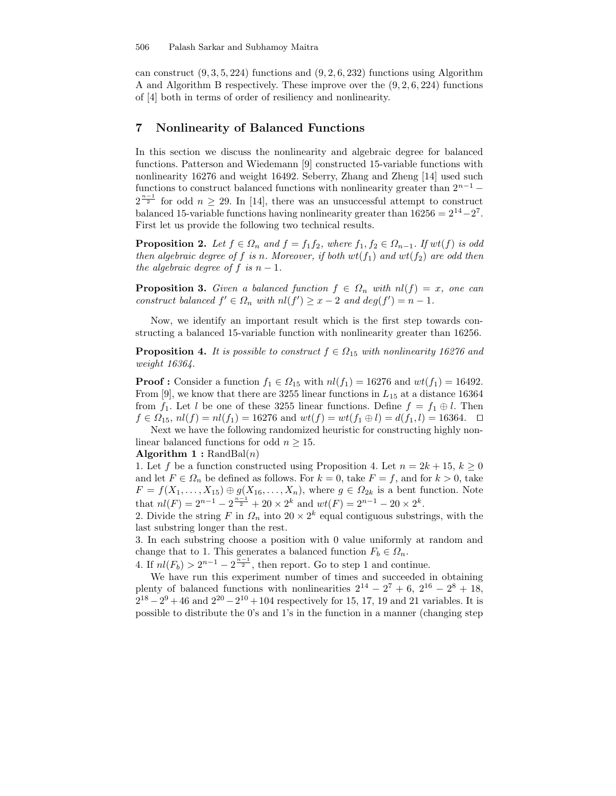can construct  $(9, 3, 5, 224)$  functions and  $(9, 2, 6, 232)$  functions using Algorithm A and Algorithm B respectively. These improve over the  $(9, 2, 6, 224)$  functions of [4] both in terms of order of resiliency and nonlinearity.

# 7 Nonlinearity of Balanced Functions

In this section we discuss the nonlinearity and algebraic degree for balanced functions. Patterson and Wiedemann [9] constructed 15-variable functions with nonlinearity 16276 and weight 16492. Seberry, Zhang and Zheng [14] used such functions to construct balanced functions with nonlinearity greater than  $2^{n-1}$  –  $2^{\frac{n-1}{2}}$  for odd  $n \geq 29$ . In [14], there was an unsuccessful attempt to construct balanced 15-variable functions having nonlinearity greater than  $16256 = 2^{14} - 2^7$ . First let us provide the following two technical results.

**Proposition 2.** Let  $f \in \Omega_n$  and  $f = f_1 f_2$ , where  $f_1, f_2 \in \Omega_{n-1}$ . If  $wt(f)$  is odd then algebraic degree of f is n. Moreover, if both  $wt(f_1)$  and  $wt(f_2)$  are odd then the algebraic degree of f is  $n-1$ .

**Proposition 3.** Given a balanced function  $f \in \Omega_n$  with  $nl(f) = x$ , one can construct balanced  $f' \in \Omega_n$  with  $nl(f') \geq x - 2$  and  $deg(f') = n - 1$ .

Now, we identify an important result which is the first step towards constructing a balanced 15-variable function with nonlinearity greater than 16256.

**Proposition 4.** It is possible to construct  $f \in \Omega_{15}$  with nonlinearity 16276 and weight 16364.

**Proof :** Consider a function  $f_1 \in \Omega_{15}$  with  $nl(f_1) = 16276$  and  $wt(f_1) = 16492$ . From [9], we know that there are 3255 linear functions in  $L_{15}$  at a distance 16364 from  $f_1$ . Let l be one of these 3255 linear functions. Define  $f = f_1 \oplus l$ . Then  $f \in \Omega_{15}$ ,  $nl(f) = nl(f_1) = 16276$  and  $wt(f) = wt(f_1 \oplus l) = d(f_1, l) = 16364. \square$ Next we have the following randomized heuristic for constructing highly non-

linear balanced functions for odd  $n \geq 15$ .

#### Algorithm  $1: \text{RandBal}(n)$

1. Let f be a function constructed using Proposition 4. Let  $n = 2k + 15$ ,  $k \geq 0$ and let  $F \in \Omega_n$  be defined as follows. For  $k = 0$ , take  $F = f$ , and for  $k > 0$ , take  $F = f(X_1, \ldots, X_{15}) \oplus g(X_{16}, \ldots, X_n)$ , where  $g \in \Omega_{2k}$  is a bent function. Note that  $nl(F) = 2^{n-1} - 2^{\frac{n-1}{2}} + 20 \times 2^k$  and  $wt(F) = 2^{n-1} - 20 \times 2^k$ .

2. Divide the string F in  $\Omega_n$  into  $20 \times 2^k$  equal contiguous substrings, with the last substring longer than the rest.

3. In each substring choose a position with 0 value uniformly at random and change that to 1. This generates a balanced function  $F_b \in \Omega_n$ .

4. If  $nl(F_b) > 2^{n-1} - 2^{\frac{n-1}{2}}$ , then report. Go to step 1 and continue.

We have run this experiment number of times and succeeded in obtaining plenty of balanced functions with nonlinearities  $2^{14} - 2^7 + 6$ ,  $2^{16} - 2^8 + 18$ ,  $2^{18} - 2^9 + 46$  and  $2^{20} - 2^{10} + 104$  respectively for 15, 17, 19 and 21 variables. It is possible to distribute the 0's and 1's in the function in a manner (changing step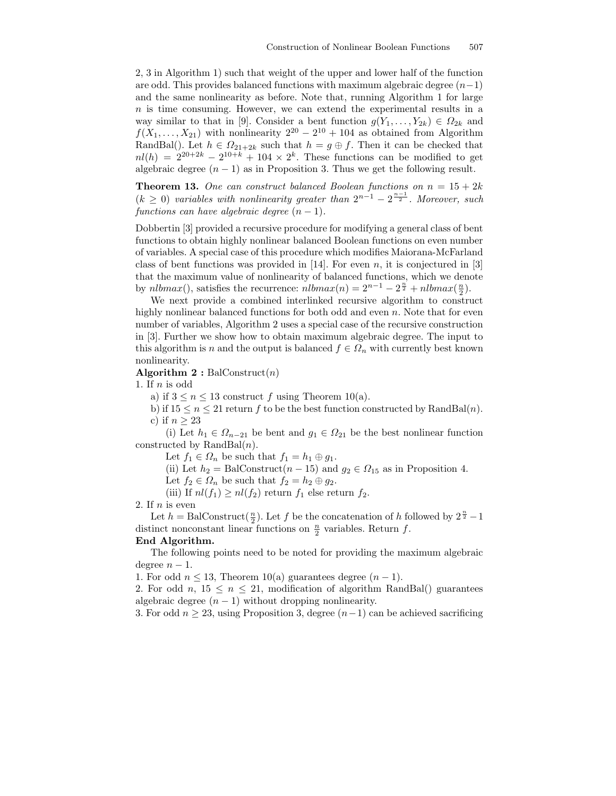2, 3 in Algorithm 1) such that weight of the upper and lower half of the function are odd. This provides balanced functions with maximum algebraic degree  $(n-1)$ and the same nonlinearity as before. Note that, running Algorithm 1 for large  $n$  is time consuming. However, we can extend the experimental results in a way similar to that in [9]. Consider a bent function  $g(Y_1, \ldots, Y_{2k}) \in \Omega_{2k}$  and  $f(X_1, \ldots, X_{21})$  with nonlinearity  $2^{20} - 2^{10} + 104$  as obtained from Algorithm RandBal(). Let  $h \in \Omega_{21+2k}$  such that  $h = g \oplus f$ . Then it can be checked that  $nl(h) = 2^{20+2k} - 2^{10+k} + 104 \times 2^k$ . These functions can be modified to get algebraic degree  $(n - 1)$  as in Proposition 3. Thus we get the following result.

**Theorem 13.** One can construct balanced Boolean functions on  $n = 15 + 2k$  $(k \geq 0)$  variables with nonlinearity greater than  $2^{n-1} - 2^{\frac{n-1}{2}}$ . Moreover, such functions can have algebraic degree  $(n-1)$ .

Dobbertin [3] provided a recursive procedure for modifying a general class of bent functions to obtain highly nonlinear balanced Boolean functions on even number of variables. A special case of this procedure which modifies Maiorana-McFarland class of bent functions was provided in [14]. For even  $n$ , it is conjectured in [3] that the maximum value of nonlinearity of balanced functions, which we denote by  $nlbmax()$ , satisfies the recurrence:  $nlbmax(n) = 2^{n-1} - 2^{\frac{n}{2}} + nlbmax(\frac{n}{2})$ .

We next provide a combined interlinked recursive algorithm to construct highly nonlinear balanced functions for both odd and even n. Note that for even number of variables, Algorithm 2 uses a special case of the recursive construction in [3]. Further we show how to obtain maximum algebraic degree. The input to this algorithm is n and the output is balanced  $f \in \Omega_n$  with currently best known nonlinearity.

Algorithm  $2:$  BalConstruct $(n)$ 

1. If  $n$  is odd

a) if  $3 \leq n \leq 13$  construct f using Theorem 10(a).

b) if  $15 \le n \le 21$  return f to be the best function constructed by RandBal(n). c) if  $n \geq 23$ 

(i) Let  $h_1 \in \Omega_{n-21}$  be bent and  $g_1 \in \Omega_{21}$  be the best nonlinear function constructed by  $\text{RandBal}(n)$ .

Let  $f_1 \in \Omega_n$  be such that  $f_1 = h_1 \oplus g_1$ .

(ii) Let  $h_2 = \text{BalConstruct}(n-15)$  and  $g_2 \in \Omega_{15}$  as in Proposition 4.

Let  $f_2 \in \Omega_n$  be such that  $f_2 = h_2 \oplus g_2$ .

(iii) If  $nl(f_1) \geq nl(f_2)$  return  $f_1$  else return  $f_2$ .

2. If  $n$  is even

Let  $h = \text{BalConstruct}(\frac{n}{2})$ . Let  $f$  be the concatenation of  $h$  followed by  $2^{\frac{n}{2}} - 1$ distinct nonconstant linear functions on  $\frac{n}{2}$  variables. Return f.

# End Algorithm.

The following points need to be noted for providing the maximum algebraic degree  $n-1$ .

1. For odd  $n \leq 13$ , Theorem 10(a) guarantees degree  $(n-1)$ .

2. For odd n,  $15 \leq n \leq 21$ , modification of algorithm RandBal() guarantees algebraic degree  $(n - 1)$  without dropping nonlinearity.

3. For odd  $n \geq 23$ , using Proposition 3, degree  $(n-1)$  can be achieved sacrificing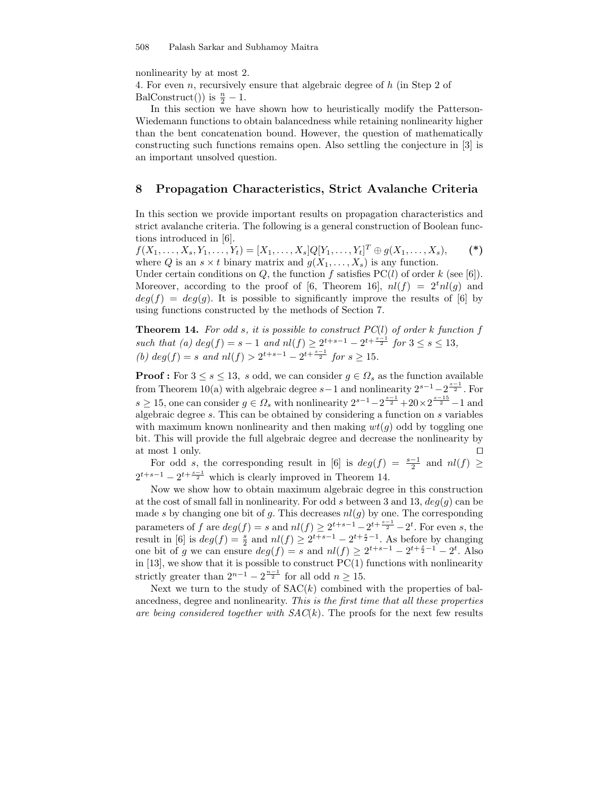nonlinearity by at most 2.

4. For even n, recursively ensure that algebraic degree of h (in Step 2 of

BalConstruct()) is  $\frac{n}{2} - 1$ .

In this section we have shown how to heuristically modify the Patterson-Wiedemann functions to obtain balancedness while retaining nonlinearity higher than the bent concatenation bound. However, the question of mathematically constructing such functions remains open. Also settling the conjecture in [3] is an important unsolved question.

# 8 Propagation Characteristics, Strict Avalanche Criteria

In this section we provide important results on propagation characteristics and strict avalanche criteria. The following is a general construction of Boolean functions introduced in [6].

 $f(X_1, \ldots, X_s, Y_1, \ldots, Y_t) = [X_1, \ldots, X_s] Q[Y_1, \ldots, Y_t]^T \oplus g(X_1, \ldots, X_s),$  (\*) where Q is an  $s \times t$  binary matrix and  $g(X_1, \ldots, X_s)$  is any function.

Under certain conditions on Q, the function f satisfies  $PC(l)$  of order k (see [6]). Moreover, according to the proof of [6, Theorem 16],  $nl(f) = 2<sup>t</sup>nl(g)$  and  $deg(f) = deg(g)$ . It is possible to significantly improve the results of [6] by using functions constructed by the methods of Section 7.

**Theorem 14.** For odd s, it is possible to construct  $PC(l)$  of order k function f such that (a)  $deg(f) = s - 1$  and  $nl(f) \geq 2^{t+s-1} - 2^{t+\frac{s-1}{2}}$  for  $3 \leq s \leq 13$ , (b)  $deg(f) = s$  and  $nl(f) > 2^{t+s-1} - 2^{t+\frac{s-1}{2}}$  for  $s \ge 15$ .

**Proof :** For  $3 \leq s \leq 13$ , s odd, we can consider  $g \in \Omega_s$  as the function available from Theorem 10(a) with algebraic degree  $s-1$  and nonlinearity  $2^{s-1}-2^{\frac{s-1}{2}}$ . For  $s \geq 15$ , one can consider  $g \in \Omega_s$  with nonlinearity  $2^{s-1} - 2^{\frac{s-1}{2}} + 20 \times 2^{\frac{s-15}{2}} - 1$  and algebraic degree s. This can be obtained by considering a function on s variables with maximum known nonlinearity and then making  $wt(q)$  odd by toggling one bit. This will provide the full algebraic degree and decrease the nonlinearity by at most 1 only.  $\Box$ 

For odd s, the corresponding result in [6] is  $deg(f) = \frac{s-1}{2}$  and  $nl(f) \geq$  $2^{t+s-1} - 2^{t+\frac{s-1}{2}}$  which is clearly improved in Theorem 14.

Now we show how to obtain maximum algebraic degree in this construction at the cost of small fall in nonlinearity. For odd s between 3 and 13,  $deg(g)$  can be made s by changing one bit of g. This decreases  $nl(g)$  by one. The corresponding parameters of f are  $deg(f) = s$  and  $nl(f) \geq 2^{t+s-1} - 2^{t+\frac{s-1}{2}} - 2^t$ . For even s, the result in [6] is  $deg(f) = \frac{s}{2}$  and  $nl(f) \geq 2^{t+s-1} - 2^{t+\frac{s}{2}-1}$ . As before by changing one bit of g we can ensure  $deg(f) = s$  and  $nl(f) \geq 2^{t+s-1} - 2^{t+\frac{s}{2}-1} - 2^t$ . Also in  $[13]$ , we show that it is possible to construct  $PC(1)$  functions with nonlinearity strictly greater than  $2^{n-1} - 2^{\frac{n-1}{2}}$  for all odd  $n \ge 15$ .

Next we turn to the study of  $SAC(k)$  combined with the properties of balancedness, degree and nonlinearity. This is the first time that all these properties are being considered together with  $SAC(k)$ . The proofs for the next few results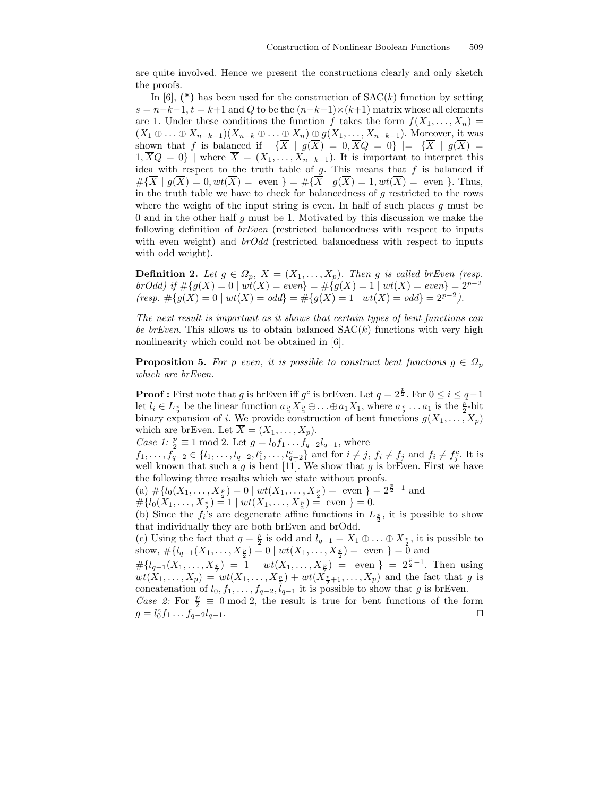are quite involved. Hence we present the constructions clearly and only sketch the proofs.

In  $[6]$ , (\*) has been used for the construction of  $SAC(k)$  function by setting  $s = n-k-1$ ,  $t = k+1$  and Q to be the  $(n-k-1) \times (k+1)$  matrix whose all elements are 1. Under these conditions the function f takes the form  $f(X_1, \ldots, X_n) =$  $(X_1 \oplus \ldots \oplus X_{n-k-1})(X_{n-k} \oplus \ldots \oplus X_n) \oplus g(X_1, \ldots, X_{n-k-1})$ . Moreover, it was shown that f is balanced if  $|\{\overline{X} \mid g(\overline{X}) = 0, \overline{X}Q = 0\}| = |\{\overline{X} \mid g(\overline{X}) = 0\}|$  $1,\overline{X}Q=0$  | where  $\overline{X}=(X_1,\ldots,X_{n-k-1})$ . It is important to interpret this idea with respect to the truth table of  $g$ . This means that  $f$  is balanced if  $\#\{\overline{X} \mid g(\overline{X})=0, wt(\overline{X}) = \text{even }\} = \#\{\overline{X} \mid g(\overline{X})=1, wt(\overline{X}) = \text{even }\}.$  Thus, in the truth table we have to check for balancedness of  $g$  restricted to the rows where the weight of the input string is even. In half of such places  $q$  must be 0 and in the other half  $q$  must be 1. Motivated by this discussion we make the following definition of brEven (restricted balancedness with respect to inputs with even weight) and  $b \cdot C d d$  (restricted balancedness with respect to inputs with odd weight).

**Definition 2.** Let  $g \in \Omega_p$ ,  $X = (X_1, \ldots, X_p)$ . Then g is called brEven (resp. brOdd) if  $\#\{g(\overline{X})=0 \mid wt(\overline{X})=even\} = \#\{g(\overline{X})=1 \mid wt(\overline{X})=even\} = 2^{p-2}$  $(resp. \# \{ g(\overline{X}) = 0 \mid wt(\overline{X}) = odd \} = \# \{ g(\overline{X}) = 1 \mid wt(\overline{X}) = odd \} = 2^{p-2}.$ 

The next result is important as it shows that certain types of bent functions can be brEven. This allows us to obtain balanced  $SAC(k)$  functions with very high nonlinearity which could not be obtained in [6].

**Proposition 5.** For p even, it is possible to construct bent functions  $g \in \Omega_p$ which are brEven.

**Proof**: First note that g is brEven iff  $g^c$  is brEven. Let  $q = 2^{\frac{p}{2}}$ . For  $0 \le i \le q-1$ let  $l_i \in L_{\frac{p}{2}}$  be the linear function  $a_{\frac{p}{2}} X_{\frac{p}{2}} \oplus \ldots \oplus a_1 X_1$ , where  $a_{\frac{p}{2}} \ldots a_1$  is the  $\frac{p}{2}$ -bit binary expansion of i. We provide construction of bent functions  $g(X_1, \ldots, X_p)$ which are brEven. Let  $\overline{X} = (X_1, \ldots, X_p)$ .

*Case 1*:  $\frac{p}{2} \equiv 1 \mod 2$ . Let  $g = l_0 f_1 \dots f_{q-2} l_{q-1}$ , where

 $f_1, \ldots, f_{q-2} \in \{l_1, \ldots, l_{q-2}, l_1^c, \ldots, l_{q-2}^c\}$  and for  $i \neq j, f_i \neq f_j$  and  $f_i \neq f_j^c$ . It is well known that such a  $g$  is bent [11]. We show that  $g$  is brEven. First we have the following three results which we state without proofs.

(a)  $\#\{l_0(X_1,\ldots,X_{\frac{p}{2}})=0 \mid wt(X_1,\ldots,X_{\frac{p}{2}})=\text{ even }\}=2^{\frac{p}{2}-1}$  and

 $\#\{l_0(X_1,\ldots,X_{\frac{p}{2}})=1 \mid wt(X_1,\ldots,X_{\frac{p}{2}})=\text{ even }\}=0.$ 

(b) Since the  $f_i$ 's are degenerate affine functions in  $L_{\frac{p}{2}}$ , it is possible to show that individually they are both brEven and brOdd.

(c) Using the fact that  $q = \frac{p}{2}$  $\frac{p}{2}$  is odd and  $l_{q-1} = X_1 \oplus \ldots \oplus X_{\frac{p}{2}}$ , it is possible to show,  $\#\{l_{q-1}(X_1,\ldots,X_{\frac{p}{2}})=0 \mid wt(X_1,\ldots,X_{\frac{p}{2}})= \text{ even }\} = \bar{0} \text{ and }$ 

 $\#\{l_{q-1}(X_1,\ldots,X_{\frac{p}{2}})=1 \mid wt(X_1,\ldots,X_{\frac{p}{2}})=\text{even }\} = 2^{\frac{p}{2}-1}.$  Then using  $wt(X_1, ..., X_p) = wt(X_1, ..., X_{\frac{p}{2}}) + wt(X_{\frac{p}{2}+1}, ..., X_p)$  and the fact that g is concatenation of  $l_0, f_1, \ldots, f_{q-2}, l_{q-1}$  it is possible to show that g is brEven.

Case 2: For  $\frac{p}{2} \equiv 0 \mod 2$ , the result is true for bent functions of the form  $g = l_0^c f_1 \dots f_{q-2} l_{q-1}.$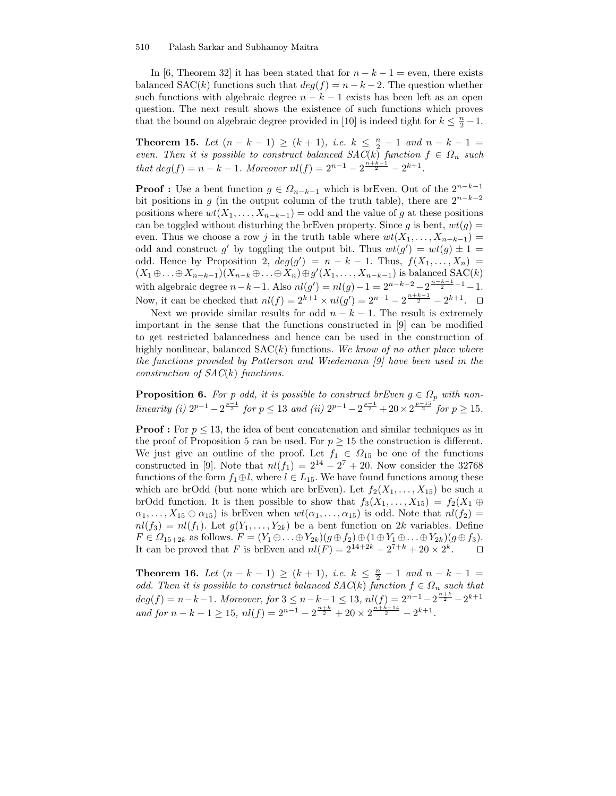#### 510 Palash Sarkar and Subhamoy Maitra

In [6, Theorem 32] it has been stated that for  $n - k - 1 =$  even, there exists balanced  $SAC(k)$  functions such that  $deg(f) = n - k - 2$ . The question whether such functions with algebraic degree  $n - k - 1$  exists has been left as an open question. The next result shows the existence of such functions which proves that the bound on algebraic degree provided in [10] is indeed tight for  $k \leq \frac{n}{2} - 1$ .

**Theorem 15.** Let  $(n - k - 1) \ge (k + 1)$ , i.e.  $k \le \frac{n}{2} - 1$  and  $n - k - 1 =$ even. Then it is possible to construct balanced  $SAC(k)$  function  $f \in \Omega_n$  such that  $deg(f) = n - k - 1$ . Moreover  $nl(f) = 2^{n-1} - 2^{\frac{n+k-1}{2}} - 2^{k+1}$ .

**Proof :** Use a bent function  $g \in \Omega_{n-k-1}$  which is brEven. Out of the  $2^{n-k-1}$ bit positions in g (in the output column of the truth table), there are  $2^{n-k-2}$ positions where  $wt(X_1, \ldots, X_{n-k-1}) =$  odd and the value of g at these positions can be toggled without disturbing the brEven property. Since g is bent,  $wt(g)$  = even. Thus we choose a row j in the truth table where  $wt(X_1, \ldots, X_{n-k-1}) =$ odd and construct g' by toggling the output bit. Thus  $wt(g') = wt(g) \pm 1 =$ odd. Hence by Proposition 2,  $deg(g') = n - k - 1$ . Thus,  $f(X_1, \ldots, X_n) =$  $(X_1 \oplus \ldots \oplus X_{n-k-1})(X_{n-k} \oplus \ldots \oplus X_n) \oplus g'(X_1, \ldots, X_{n-k-1})$  is balanced SAC(k) with algebraic degree  $n - k - 1$ . Also  $nl(g') = nl(g) - 1 = 2^{n-k-2} - 2^{\frac{n-k-1}{2} - 1} - 1$ . Now, it can be checked that  $nl(f) = 2^{k+1} \times nl(g') = 2^{n-1} - 2^{\frac{n+k-1}{2}} - 2^{k+1}$ .  $\Box$ 

Next we provide similar results for odd  $n - k - 1$ . The result is extremely important in the sense that the functions constructed in [9] can be modified to get restricted balancedness and hence can be used in the construction of highly nonlinear, balanced  $SAC(k)$  functions. We know of no other place where the functions provided by Patterson and Wiedemann [9] have been used in the construction of  $SAC(k)$  functions.

**Proposition 6.** For p odd, it is possible to construct brEven  $g \in \Omega_p$  with nonlinearity (i)  $2^{p-1} - 2^{\frac{p-1}{2}}$  for  $p \le 13$  and (ii)  $2^{p-1} - 2^{\frac{p-1}{2}} + 20 \times 2^{\frac{p-15}{2}}$  for  $p \ge 15$ .

**Proof :** For  $p \leq 13$ , the idea of bent concatenation and similar techniques as in the proof of Proposition 5 can be used. For  $p \geq 15$  the construction is different. We just give an outline of the proof. Let  $f_1 \in \Omega_{15}$  be one of the functions constructed in [9]. Note that  $nl(f_1) = 2^{14} - 2^7 + 20$ . Now consider the 32768 functions of the form  $f_1 \oplus l$ , where  $l \in L_{15}$ . We have found functions among these which are brOdd (but none which are brEven). Let  $f_2(X_1, \ldots, X_{15})$  be such a brOdd function. It is then possible to show that  $f_3(X_1, \ldots, X_{15}) = f_2(X_1 \oplus$  $\alpha_1, \ldots, X_{15} \oplus \alpha_{15}$ ) is brEven when  $wt(\alpha_1, \ldots, \alpha_{15})$  is odd. Note that  $nl(f_2)$  $nl(f_3) = nl(f_1)$ . Let  $g(Y_1, \ldots, Y_{2k})$  be a bent function on 2k variables. Define  $F \in \Omega_{15+2k}$  as follows.  $F = (Y_1 \oplus \ldots \oplus Y_{2k})(g \oplus f_2) \oplus (1 \oplus Y_1 \oplus \ldots \oplus Y_{2k})(g \oplus f_3).$ It can be proved that F is brEven and  $nl(F) = 2^{14+2k} - 2^{7+k} + 20 \times 2^k$ .  $\Box$ 

**Theorem 16.** Let  $(n - k - 1) \ge (k + 1)$ , i.e.  $k \le \frac{n}{2} - 1$  and  $n - k - 1 =$ odd. Then it is possible to construct balanced  $SAC(k)$  function  $f \in \Omega_n$  such that  $deg(f) = n - k - 1$ . Moreover, for  $3 \leq n - k - 1 \leq 13$ ,  $nl(f) = 2^{n-1} - 2^{\frac{n+k}{2}} - 2^{k+1}$ and for  $n - k - 1 \ge 15$ ,  $nl(f) = 2^{n-1} - 2^{\frac{n+k}{2}} + 20 \times 2^{\frac{n+k-14}{2}} - 2^{k+1}$ .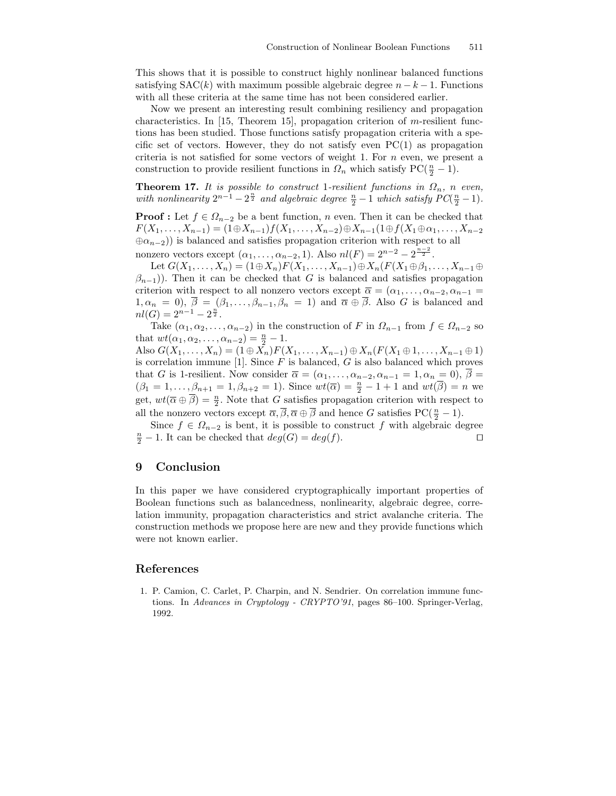This shows that it is possible to construct highly nonlinear balanced functions satisfying  $SAC(k)$  with maximum possible algebraic degree  $n - k - 1$ . Functions with all these criteria at the same time has not been considered earlier.

Now we present an interesting result combining resiliency and propagation characteristics. In  $[15,$  Theorem 15], propagation criterion of m-resilient functions has been studied. Those functions satisfy propagation criteria with a specific set of vectors. However, they do not satisfy even  $PC(1)$  as propagation criteria is not satisfied for some vectors of weight 1. For  $n$  even, we present a construction to provide resilient functions in  $\Omega_n$  which satisfy PC( $\frac{n}{2} - 1$ ).

**Theorem 17.** It is possible to construct 1-resilient functions in  $\Omega_n$ , n even, with nonlinearity  $2^{n-1} - 2^{\frac{n}{2}}$  and algebraic degree  $\frac{n}{2} - 1$  which satisfy  $PC(\frac{n}{2} - 1)$ .

**Proof :** Let  $f \in \Omega_{n-2}$  be a bent function, n even. Then it can be checked that  $F(X_1, \ldots, X_{n-1}) = (1 \oplus X_{n-1}) f(X_1, \ldots, X_{n-2}) \oplus X_{n-1} (1 \oplus f(X_1 \oplus \alpha_1, \ldots, X_{n-2}))$  $\oplus \alpha_{n-2}$ )) is balanced and satisfies propagation criterion with respect to all nonzero vectors except  $(\alpha_1, ..., \alpha_{n-2}, 1)$ . Also  $nl(F) = 2^{n-2} - 2^{\frac{n-2}{2}}$ .

Let  $G(X_1, ..., X_n) = (1 \oplus X_n) F(X_1, ..., X_{n-1}) \oplus X_n (F(X_1 \oplus \beta_1, ..., X_{n-1} \oplus$  $(\beta_{n-1})$ ). Then it can be checked that G is balanced and satisfies propagation criterion with respect to all nonzero vectors except  $\overline{\alpha} = (\alpha_1, \ldots, \alpha_{n-2}, \alpha_{n-1} =$  $1, \alpha_n = 0$ ),  $\overline{\beta} = (\beta_1, \ldots, \beta_{n-1}, \beta_n = 1)$  and  $\overline{\alpha} \oplus \overline{\beta}$ . Also G is balanced and  $nl(G) = 2^{n-1} - 2^{\frac{n}{2}}$ .

Take  $(\alpha_1, \alpha_2, \ldots, \alpha_{n-2})$  in the construction of F in  $\Omega_{n-1}$  from  $f \in \Omega_{n-2}$  so that  $wt(\alpha_1, \alpha_2, \ldots, \alpha_{n-2}) = \frac{n}{2} - 1.$ 

Also  $G(X_1, ..., X_n) = (1 \oplus X_n) F(X_1, ..., X_{n-1}) \oplus X_n (F(X_1 \oplus 1, ..., X_{n-1} \oplus 1))$ is correlation immune  $[1]$ . Since F is balanced, G is also balanced which proves that G is 1-resilient. Now consider  $\overline{\alpha} = (\alpha_1, \ldots, \alpha_{n-2}, \alpha_{n-1} = 1, \alpha_n = 0), \overline{\beta} =$  $(\beta_1 = 1, \ldots, \beta_{n+1} = 1, \beta_{n+2} = 1)$ . Since  $wt(\overline{\alpha}) = \frac{n}{2} - 1 + 1$  and  $wt(\overline{\beta}) = n$  we get,  $wt(\overline{\alpha} \oplus \overline{\beta}) = \frac{n}{2}$ . Note that G satisfies propagation criterion with respect to all the nonzero vectors except  $\overline{\alpha}, \overline{\beta}, \overline{\alpha} \oplus \overline{\beta}$  and hence G satisfies PC( $\frac{n}{2} - 1$ ).

Since  $f \in \Omega_{n-2}$  is bent, it is possible to construct f with algebraic degree  $\frac{n}{2} - 1$ . It can be checked that  $deg(G) = deg(f)$ .

## 9 Conclusion

In this paper we have considered cryptographically important properties of Boolean functions such as balancedness, nonlinearity, algebraic degree, correlation immunity, propagation characteristics and strict avalanche criteria. The construction methods we propose here are new and they provide functions which were not known earlier.

## References

1. P. Camion, C. Carlet, P. Charpin, and N. Sendrier. On correlation immune functions. In Advances in Cryptology - CRYPTO'91, pages 86-100. Springer-Verlag, 1992.